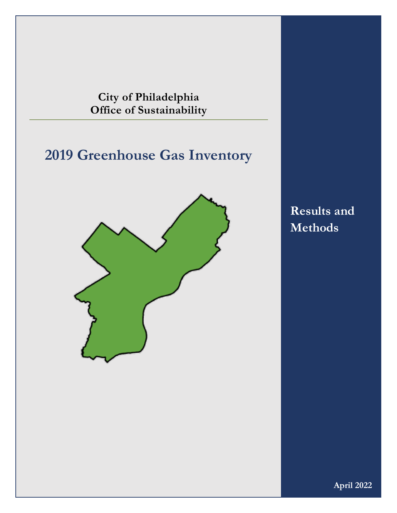**City of Philadelphia Office of Sustainability**

# **2019 Greenhouse Gas Inventory**



**Results and Methods**

**April 2022**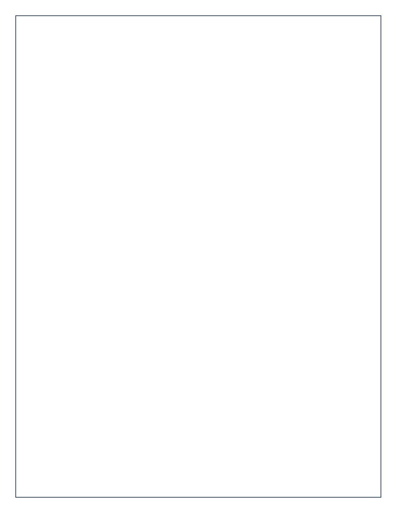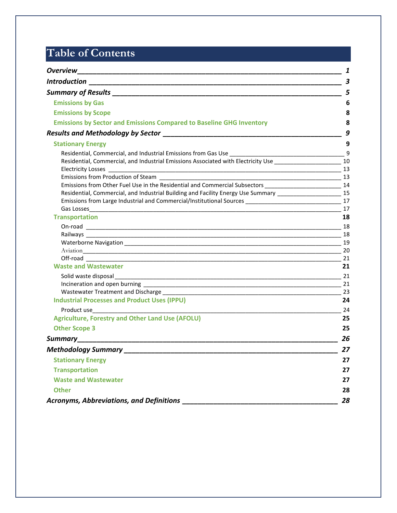# **Table of Contents**

|                                                                                                                                                                                                | 1                |
|------------------------------------------------------------------------------------------------------------------------------------------------------------------------------------------------|------------------|
|                                                                                                                                                                                                | $\boldsymbol{3}$ |
|                                                                                                                                                                                                | 5                |
| <b>Emissions by Gas</b>                                                                                                                                                                        | 6                |
| <b>Emissions by Scope</b>                                                                                                                                                                      | 8                |
| <b>Emissions by Sector and Emissions Compared to Baseline GHG Inventory</b>                                                                                                                    | 8                |
|                                                                                                                                                                                                | 9                |
| <b>Stationary Energy</b>                                                                                                                                                                       | 9                |
|                                                                                                                                                                                                |                  |
|                                                                                                                                                                                                |                  |
|                                                                                                                                                                                                |                  |
|                                                                                                                                                                                                |                  |
| Emissions from Other Fuel Use in the Residential and Commercial Subsectors __________________________________14                                                                                |                  |
| Residential, Commercial, and Industrial Building and Facility Energy Use Summary ________________________15                                                                                    |                  |
|                                                                                                                                                                                                | 17               |
| <b>Transportation</b>                                                                                                                                                                          | 18               |
|                                                                                                                                                                                                |                  |
|                                                                                                                                                                                                |                  |
|                                                                                                                                                                                                |                  |
|                                                                                                                                                                                                |                  |
|                                                                                                                                                                                                |                  |
| <b>Waste and Wastewater</b>                                                                                                                                                                    | 21               |
|                                                                                                                                                                                                | 21               |
|                                                                                                                                                                                                | 21               |
| <b>Industrial Processes and Product Uses (IPPU)</b>                                                                                                                                            | 24               |
|                                                                                                                                                                                                |                  |
| Product use <b>Example 20</b> Product use <b>Example 20</b> Product use <b>Example 20</b> Product use <b>EXAMPLE 20 Product</b> use<br><b>Agriculture, Forestry and Other Land Use (AFOLU)</b> | 24<br>25         |
|                                                                                                                                                                                                |                  |
| <b>Other Scope 3</b>                                                                                                                                                                           | 25               |
|                                                                                                                                                                                                | 26               |
| <b>Methodology Summary</b>                                                                                                                                                                     | 27               |
| <b>Stationary Energy</b>                                                                                                                                                                       | 27               |
| <b>Transportation</b>                                                                                                                                                                          | 27               |
| <b>Waste and Wastewater</b>                                                                                                                                                                    | 27               |
| <b>Other</b>                                                                                                                                                                                   | 28               |
| <b>Acronyms, Abbreviations, and Definitions</b>                                                                                                                                                | 28               |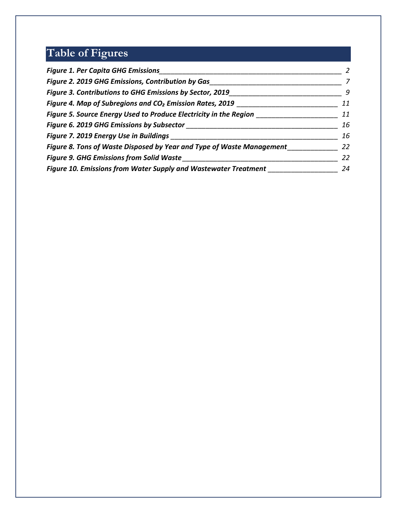# **Table of Figures**

| Figure 1. Per Capita GHG Emissions                                     | 2  |
|------------------------------------------------------------------------|----|
| Figure 2. 2019 GHG Emissions, Contribution by Gas                      | 7  |
| Figure 3. Contributions to GHG Emissions by Sector, 2019               | 9  |
| Figure 4. Map of Subregions and CO <sub>2</sub> Emission Rates, 2019   | 11 |
| Figure 5. Source Energy Used to Produce Electricity in the Region      | 11 |
| Figure 6. 2019 GHG Emissions by Subsector                              | 16 |
| Figure 7. 2019 Energy Use in Buildings                                 | 16 |
| Figure 8. Tons of Waste Disposed by Year and Type of Waste Management  | 22 |
| <b>Figure 9. GHG Emissions from Solid Waste</b>                        | 22 |
| <b>Figure 10. Emissions from Water Supply and Wastewater Treatment</b> | 24 |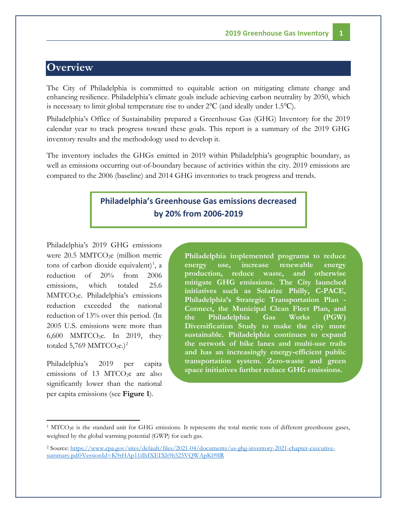## <span id="page-4-0"></span>**Overview**

The City of Philadelphia is committed to equitable action on mitigating climate change and enhancing resilience. Philadelphia's climate goals include achieving carbon neutrality by 2050, which is necessary to limit global temperature rise to under 2℃ (and ideally under 1.5℃).

Philadelphia's Office of Sustainability prepared a Greenhouse Gas (GHG) Inventory for the 2019 calendar year to track progress toward these goals. This report is a summary of the 2019 GHG inventory results and the methodology used to develop it.

The inventory includes the GHGs emitted in 2019 within Philadelphia's geographic boundary, as well as emissions occurring out-of-boundary because of activities within the city. 2019 emissions are compared to the 2006 (baseline) and 2014 GHG inventories to track progress and trends.

## **Philadelphia's Greenhouse Gas emissions decreased by 20% from 2006-2019**

Philadelphia's 2019 GHG emissions were  $20.5 \text{ MMTCO}_{2}$ e (million metric tons of carbon dioxide equivalent)<sup>[1](#page-4-1)</sup>, a reduction of 20% from 2006 emissions, which totaled 25.6 MMTCO<sub>2</sub>e. Philadelphia's emissions reduction exceeded the national reduction of 13% over this period. (In 2005 U.S. emissions were more than 6,600 MMTCO<sub>2</sub>e. In 2019, they totaled 5,769 MMTCO<sub>[2](#page-4-2)</sub>e.)<sup>2</sup>

Philadelphia's 2019 per capita emissions of 13 MTCO<sub>2</sub>e are also significantly lower than the national per capita emissions (see **Figure 1**).

**Philadelphia implemented programs to reduce energy use, increase renewable energy production, reduce waste, and otherwise mitigate GHG emissions. The City launched initiatives such as Solarize Philly, C-PACE, Philadelphia's Strategic Transportation Plan - Connect, the Municipal Clean Fleet Plan, and the Philadelphia Gas Works (PGW) Diversification Study to make the city more sustainable. Philadelphia continues to expand the network of bike lanes and multi-use trails and has an increasingly energy-efficient public transportation system. Zero-waste and green space initiatives further reduce GHG emissions.** 

<span id="page-4-1"></span><sup>&</sup>lt;sup>1</sup> MTCO<sub>2</sub>e is the standard unit for GHG emissions. It represents the total metric tons of different greenhouse gases, weighted by the global warming potential (GWP) for each gas.

<span id="page-4-2"></span><sup>2</sup> Source[: https://www.epa.gov/sites/default/files/2021-04/documents/us-ghg-inventory-2021-chapter-executive](https://www.epa.gov/sites/default/files/2021-04/documents/us-ghg-inventory-2021-chapter-executive-summary.pdf?VersionId=K9rHAp11iIhIXEIXh9h525VQWApK09IR)[summary.pdf?VersionId=K9rHAp11iIhIXEIXh9h525VQWApK09IR](https://www.epa.gov/sites/default/files/2021-04/documents/us-ghg-inventory-2021-chapter-executive-summary.pdf?VersionId=K9rHAp11iIhIXEIXh9h525VQWApK09IR)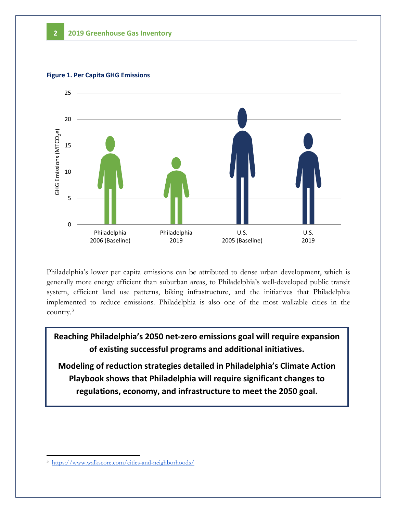

#### <span id="page-5-0"></span>**Figure 1. Per Capita GHG Emissions**

Philadelphia's lower per capita emissions can be attributed to dense urban development, which is generally more energy efficient than suburban areas, to Philadelphia's well-developed public transit system, efficient land use patterns, biking infrastructure, and the initiatives that Philadelphia implemented to reduce emissions. Philadelphia is also one of the most walkable cities in the country.[3](#page-5-1)

**Reaching Philadelphia's 2050 net-zero emissions goal will require expansion of existing successful programs and additional initiatives.** 

**Modeling of reduction strategies detailed in Philadelphia's Climate Action Playbook shows that Philadelphia will require significant changes to regulations, economy, and infrastructure to meet the 2050 goal.**

<span id="page-5-1"></span><sup>3</sup> <https://www.walkscore.com/cities-and-neighborhoods/>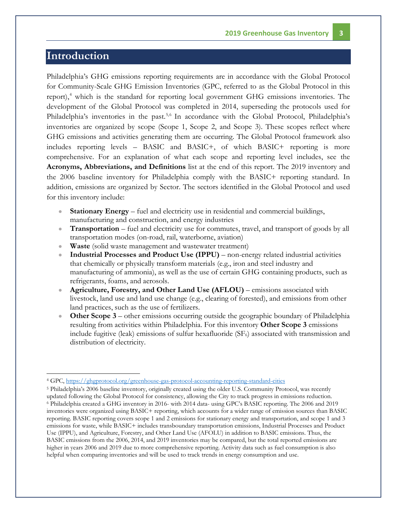## <span id="page-6-0"></span>**Introduction**

Philadelphia's GHG emissions reporting requirements are in accordance with the Global Protocol for Community-Scale GHG Emission Inventories (GPC, referred to as the Global Protocol in this report), [4](#page-6-1) which is the standard for reporting local government GHG emissions inventories. The development of the Global Protocol was completed in 2014, superseding the protocols used for Philadelphia's inventories in the past.<sup>[5](#page-6-2),[6](#page-6-3)</sup> In accordance with the Global Protocol, Philadelphia's inventories are organized by scope (Scope 1, Scope 2, and Scope 3). These scopes reflect where GHG emissions and activities generating them are occurring. The Global Protocol framework also includes reporting levels – BASIC and BASIC+, of which BASIC+ reporting is more comprehensive. For an explanation of what each scope and reporting level includes, see the **Acronyms, Abbreviations, and Definitions** list at the end of this report. The 2019 inventory and the 2006 baseline inventory for Philadelphia comply with the BASIC+ reporting standard. In addition, emissions are organized by Sector. The sectors identified in the Global Protocol and used for this inventory include:

- **Stationary Energy** fuel and electricity use in residential and commercial buildings, manufacturing and construction, and energy industries
- **Transportation** fuel and electricity use for commutes, travel, and transport of goods by all transportation modes (on-road, rail, waterborne, aviation)
- **Waste** (solid waste management and wastewater treatment)
- **Industrial Processes and Product Use (IPPU)** non-energy related industrial activities that chemically or physically transform materials (e.g., iron and steel industry and manufacturing of ammonia), as well as the use of certain GHG containing products, such as refrigerants, foams, and aerosols.
- **Agriculture, Forestry, and Other Land Use (AFLOU)**  emissions associated with livestock, land use and land use change (e.g., clearing of forested), and emissions from other land practices, such as the use of fertilizers.
- **Other Scope 3** other emissions occurring outside the geographic boundary of Philadelphia resulting from activities within Philadelphia. For this inventory **Other Scope 3** emissions include fugitive (leak) emissions of sulfur hexafluoride  $(SF_6)$  associated with transmission and distribution of electricity.

<span id="page-6-1"></span><sup>4</sup> GPC,<https://ghgprotocol.org/greenhouse-gas-protocol-accounting-reporting-standard-cities>

<span id="page-6-3"></span><span id="page-6-2"></span><sup>5</sup> Philadelphia's 2006 baseline inventory, originally created using the older U.S. Community Protocol, was recently updated following the Global Protocol for consistency, allowing the City to track progress in emissions reduction. <sup>6</sup> Philadelphia created a GHG inventory in 2016- with 2014 data- using GPC's BASIC reporting. The 2006 and 2019 inventories were organized using BASIC+ reporting, which accounts for a wider range of emission sources than BASIC reporting. BASIC reporting covers scope 1 and 2 emissions for stationary energy and transportation, and scope 1 and 3 emissions for waste, while BASIC+ includes transboundary transportation emissions, Industrial Processes and Product Use (IPPU), and Agriculture, Forestry, and Other Land Use (AFOLU) in addition to BASIC emissions. Thus, the BASIC emissions from the 2006, 2014, and 2019 inventories may be compared, but the total reported emissions are higher in years 2006 and 2019 due to more comprehensive reporting. Activity data such as fuel consumption is also helpful when comparing inventories and will be used to track trends in energy consumption and use.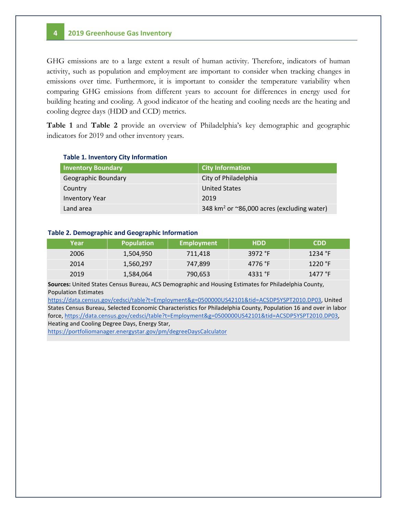#### **4 2019 Greenhouse Gas Inventory**

GHG emissions are to a large extent a result of human activity. Therefore, indicators of human activity, such as population and employment are important to consider when tracking changes in emissions over time. Furthermore, it is important to consider the temperature variability when comparing GHG emissions from different years to account for differences in energy used for building heating and cooling. A good indicator of the heating and cooling needs are the heating and cooling degree days (HDD and CCD) metrics.

**Table 1** and **Table 2** provide an overview of Philadelphia's key demographic and geographic indicators for 2019 and other inventory years.

| <b>Inventory Boundary</b> | <b>City Information</b>                                |
|---------------------------|--------------------------------------------------------|
| Geographic Boundary       | City of Philadelphia                                   |
| Country                   | <b>United States</b>                                   |
| <b>Inventory Year</b>     | 2019                                                   |
| Land area                 | 348 km <sup>2</sup> or ~86,000 acres (excluding water) |

#### **Table 1. Inventory City Information**

#### **Table 2. Demographic and Geographic Information**

| Year | <b>Population</b> | <b>Employment</b> | <b>HDD</b>       | <b>CDD</b>        |
|------|-------------------|-------------------|------------------|-------------------|
| 2006 | 1,504,950         | 711.418           | 3972 $\degree$ F | 1234 $\degree$ F  |
| 2014 | 1,560,297         | 747,899           | 4776 °F          | 1220 $^{\circ}$ F |
| 2019 | 1,584,064         | 790,653           | 4331 $\degree$ F | 1477 °F           |

**Sources:** United States Census Bureau, ACS Demographic and Housing Estimates for Philadelphia County, Population Estimate[s](https://data.census.gov/cedsci/table?t=Employment&g=0500000US42101&tid=ACSDP5YSPT2010.DP03)

[https://data.census.gov/cedsci/table?t=Employment&g=0500000US42101&tid=ACSDP5YSPT2010.DP03,](https://data.census.gov/cedsci/table?t=Employment&g=0500000US42101&tid=ACSDP5YSPT2010.DP03) United States Census Bureau, Selected Economic Characteristics for Philadelphia County, Population 16 and over in labor force[,](https://data.census.gov/cedsci/table?t=Employment&g=0500000US42101&tid=ACSDP5YSPT2010.DP03) [https://data.census.gov/cedsci/table?t=Employment&g=0500000US42101&tid=ACSDP5YSPT2010.DP03,](https://data.census.gov/cedsci/table?t=Employment&g=0500000US42101&tid=ACSDP5YSPT2010.DP03)  Heating and Cooling Degree Days, Energy Sta[r,](https://portfoliomanager.energystar.gov/pm/degreeDaysCalculator)

<https://portfoliomanager.energystar.gov/pm/degreeDaysCalculator>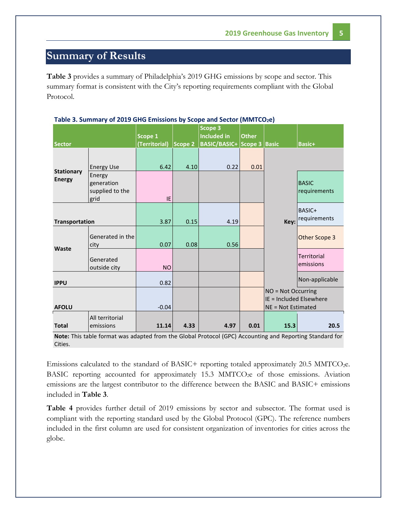## <span id="page-8-0"></span>**Summary of Results**

**Table 3** provides a summary of Philadelphia's 2019 GHG emissions by scope and sector. This summary format is consistent with the City's reporting requirements compliant with the Global Protocol.

| <b>Sector</b>                                                                                                       |                                                 | Scope 1<br>(Territorial) | Scope 2 | Scope 3<br><b>Included in</b><br><b>BASIC/BASIC+</b> | <b>Other</b><br>Scope 3 Basic |                                                                     | Basic+                          |
|---------------------------------------------------------------------------------------------------------------------|-------------------------------------------------|--------------------------|---------|------------------------------------------------------|-------------------------------|---------------------------------------------------------------------|---------------------------------|
| <b>Stationary</b>                                                                                                   | <b>Energy Use</b>                               | 6.42                     | 4.10    | 0.22                                                 | 0.01                          |                                                                     |                                 |
| <b>Energy</b>                                                                                                       | Energy<br>generation<br>supplied to the<br>grid | IE.                      |         |                                                      |                               |                                                                     | <b>BASIC</b><br>requirements    |
| Transportation                                                                                                      |                                                 | 3.87                     | 0.15    | 4.19                                                 |                               | Key:                                                                | BASIC+<br>requirements          |
| Waste                                                                                                               | Generated in the<br>city                        | 0.07                     | 0.08    | 0.56                                                 |                               |                                                                     | Other Scope 3                   |
|                                                                                                                     | Generated<br>outside city                       | <b>NO</b>                |         |                                                      |                               |                                                                     | <b>Territorial</b><br>emissions |
| <b>IPPU</b>                                                                                                         |                                                 | 0.82                     |         |                                                      |                               |                                                                     | Non-applicable                  |
| <b>AFOLU</b>                                                                                                        |                                                 | $-0.04$                  |         |                                                      |                               | NO = Not Occurring<br>IE = Included Elsewhere<br>NE = Not Estimated |                                 |
| <b>Total</b>                                                                                                        | All territorial<br>emissions                    | 11.14                    | 4.33    | 4.97                                                 | 0.01                          | 15.3                                                                | 20.5                            |
| Note: This table format was adapted from the Global Protocol (GPC) Accounting and Reporting Standard for<br>Cities. |                                                 |                          |         |                                                      |                               |                                                                     |                                 |

| Table 3. Summary of 2019 GHG Emissions by Scope and Sector (MMTCO <sub>2</sub> e) |  |  |
|-----------------------------------------------------------------------------------|--|--|
|-----------------------------------------------------------------------------------|--|--|

Emissions calculated to the standard of BASIC+ reporting totaled approximately 20.5 MMTCO<sub>2</sub>e. BASIC reporting accounted for approximately  $15.3 \text{ MMTCO}_2$ e of those emissions. Aviation emissions are the largest contributor to the difference between the BASIC and BASIC+ emissions included in **Table 3**.

**Table 4** provides further detail of 2019 emissions by sector and subsector. The format used is compliant with the reporting standard used by the Global Protocol (GPC). The reference numbers included in the first column are used for consistent organization of inventories for cities across the globe.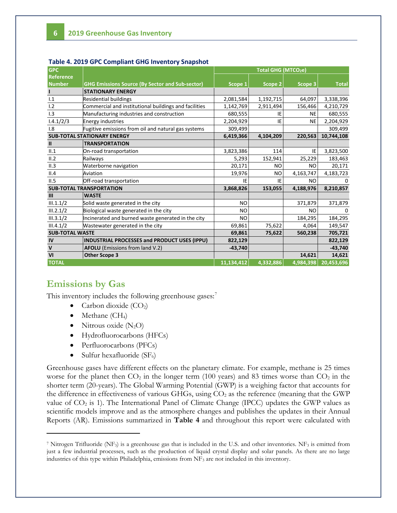| <b>GPC</b>             |                                                        | Total GHG (MTCO <sub>2</sub> e) |                |                |              |
|------------------------|--------------------------------------------------------|---------------------------------|----------------|----------------|--------------|
| Reference              |                                                        |                                 |                |                |              |
| <b>Number</b>          | <b>GHG Emissions Source (By Sector and Sub-sector)</b> | Scope 1                         | Scope 2        | Scope 3        | <b>Total</b> |
|                        | <b>STATIONARY ENERGY</b>                               |                                 |                |                |              |
| 1.1                    | <b>Residential buildings</b>                           | 2,081,584                       | 1,192,715      | 64,097         | 3,338,396    |
| 1.2                    | Commercial and institutional buildings and facilities  | 1,142,769                       | 2,911,494      | 156,466        | 4,210,729    |
| 1.3                    | Manufacturing industries and construction              | 680,555                         | IE             | <b>NE</b>      | 680,555      |
| 1.4.1/2/3              | <b>Energy industries</b>                               | 2,204,929                       | IE             | NE             | 2,204,929    |
| 1.8                    | Fugitive emissions from oil and natural gas systems    | 309,499                         |                |                | 309,499      |
|                        | <b>SUB-TOTAL STATIONARY ENERGY</b>                     | 6,419,366                       | 4,104,209      | 220,563        | 10,744,108   |
| Ш                      | <b>TRANSPORTATION</b>                                  |                                 |                |                |              |
| II.1                   | On-road transportation                                 | 3,823,386                       | 114            | IE             | 3,823,500    |
| II.2                   | Railways                                               | 5,293                           | 152,941        | 25,229         | 183,463      |
| II.3                   | Waterborne navigation                                  | 20,171                          | N <sub>O</sub> | N <sub>O</sub> | 20,171       |
| II.4                   | Aviation                                               | 19,976                          | N <sub>O</sub> | 4,163,747      | 4,183,723    |
| II.5                   | Off-road transportation                                | IF                              | IE             | N <sub>O</sub> |              |
|                        | <b>SUB-TOTAL TRANSPORTATION</b>                        | 3,868,826                       | 153,055        | 4,188,976      | 8,210,857    |
| III                    | <b>WASTE</b>                                           |                                 |                |                |              |
| III.1.1/2              | Solid waste generated in the city                      | N <sub>O</sub>                  |                | 371,879        | 371,879      |
| III.2.1/2              | Biological waste generated in the city                 | N <sub>O</sub>                  |                | N <sub>O</sub> | $\Omega$     |
| III.3.1/2              | Incinerated and burned waste generated in the city     | NO                              |                | 184,295        | 184,295      |
| III.4.1/2              | Wastewater generated in the city                       | 69,861                          | 75,622         | 4,064          | 149,547      |
| <b>SUB-TOTAL WASTE</b> |                                                        | 69,861                          | 75,622         | 560,238        | 705,721      |
| IV                     | INDUSTRIAL PROCESSES and PRODUCT USES (IPPU)           | 822,129                         |                |                | 822,129      |
| $\mathsf{V}$           | <b>AFOLU</b> (Emissions from land V.2)                 | -43,740                         |                |                | $-43,740$    |
| V <sub>l</sub>         | <b>Other Scope 3</b>                                   |                                 |                | 14,621         | 14,621       |
| <b>TOTAL</b>           |                                                        | 11,134,412                      | 4,332,886      | 4,984,398      | 20,453,696   |

#### **Table 4. 2019 GPC Compliant GHG Inventory Snapshot**

## <span id="page-9-0"></span>**Emissions by Gas**

This inventory includes the following greenhouse gases:<sup>[7](#page-9-1)</sup>

- Carbon dioxide  $(CO_2)$
- Methane  $(CH_4)$
- Nitrous oxide  $(N_2O)$
- Hydrofluorocarbons (HFCs)
- Perfluorocarbons (PFCs)
- Sulfur hexafluoride  $(SF_6)$

Greenhouse gases have different effects on the planetary climate. For example, methane is 25 times worse for the planet then  $CO_2$  in the longer term (100 years) and 83 times worse than  $CO_2$  in the shorter term (20-years). The Global Warming Potential (GWP) is a weighing factor that accounts for the difference in effectiveness of various GHGs, using  $CO<sub>2</sub>$  as the reference (meaning that the GWP value of  $CO<sub>2</sub>$  is 1). The International Panel of Climate Change (IPCC) updates the GWP values as scientific models improve and as the atmosphere changes and publishes the updates in their Annual Reports (AR). Emissions summarized in **Table 4** and throughout this report were calculated with

<span id="page-9-1"></span><sup>&</sup>lt;sup>7</sup> Nitrogen Trifluoride (NF<sub>3</sub>) is a greenhouse gas that is included in the U.S. and other inventories. NF<sub>3</sub> is emitted from just a few industrial processes, such as the production of liquid crystal display and solar panels. As there are no large industries of this type within Philadelphia, emissions from  $NF<sub>3</sub>$  are not included in this inventory.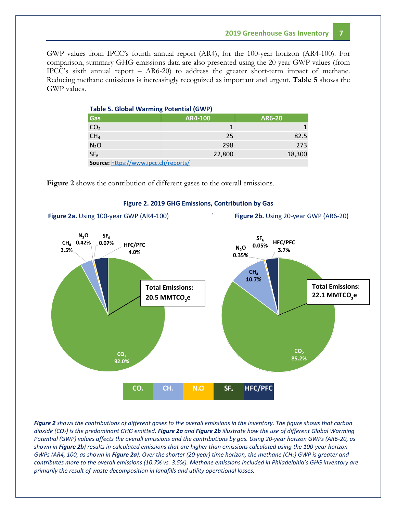GWP values from IPCC's fourth annual report (AR4), for the 100-year horizon (AR4-100). For comparison, summary GHG emissions data are also presented using the 20-year GWP values (from IPCC's sixth annual report – AR6-20) to address the greater short-term impact of methane. Reducing methane emissions is increasingly recognized as important and urgent. **Table 5** shows the GWP values.

| <b>Table 5. Global Warming Potential (GWP)</b> |         |        |  |  |  |  |
|------------------------------------------------|---------|--------|--|--|--|--|
| Gas                                            | AR4-100 | AR6-20 |  |  |  |  |
| CO <sub>2</sub>                                |         |        |  |  |  |  |
| CH <sub>4</sub>                                | 25      | 82.5   |  |  |  |  |
| N <sub>2</sub> O                               | 298     | 273    |  |  |  |  |
| SF <sub>6</sub>                                | 22,800  | 18,300 |  |  |  |  |
| <b>Source:</b> https://www.ipcc.ch/reports/    |         |        |  |  |  |  |

**Figure 2** shows the contribution of different gases to the overall emissions.



<span id="page-10-0"></span>

*Figure 2 shows the contributions of different gases to the overall emissions in the inventory. The figure shows that carbon dioxide (CO2) is the predominant GHG emitted. Figure 2a and Figure 2b illustrate how the use of different Global Warming Potential (GWP) values affects the overall emissions and the contributions by gas. Using 20-year horizon GWPs (AR6-20, as shown in Figure 2b) results in calculated emissions that are higher than emissions calculated using the 100-year horizon GWPs (AR4, 100, as shown in Figure 2a). Over the shorter (20-year) time horizon, the methane (CH4) GWP is greater and contributes more to the overall emissions (10.7% vs. 3.5%). Methane emissions included in Philadelphia's GHG inventory are primarily the result of waste decomposition in landfills and utility operational losses.*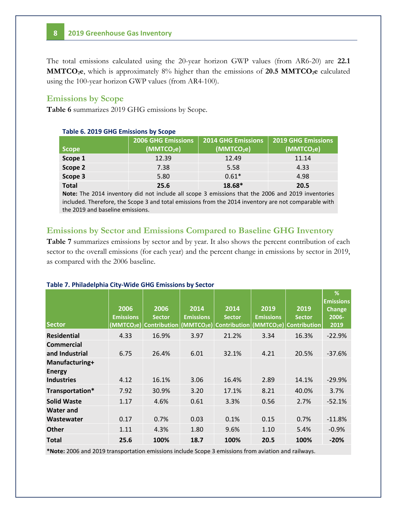The total emissions calculated using the 20-year horizon GWP values (from AR6-20) are **22.1 MMTCO<sub>2</sub>e**, which is approximately 8% higher than the emissions of 20.5 MMTCO<sub>2</sub>e calculated using the 100-year horizon GWP values (from AR4-100).

#### <span id="page-11-0"></span>**Emissions by Scope**

**Table 6** summarizes 2019 GHG emissions by Scope.

| Table 6. 2019 GHG Emissions by Scope                                                                                            |                                                                              |                        |                        |  |  |  |
|---------------------------------------------------------------------------------------------------------------------------------|------------------------------------------------------------------------------|------------------------|------------------------|--|--|--|
|                                                                                                                                 | <b>2006 GHG Emissions</b><br><b>2014 GHG Emissions</b><br>2019 GHG Emissions |                        |                        |  |  |  |
| <b>Scope</b>                                                                                                                    | (MMTCO <sub>2</sub> e)                                                       | (MMTCO <sub>2</sub> e) | (MMTCO <sub>2</sub> e) |  |  |  |
| Scope 1                                                                                                                         | 12.39                                                                        | 12.49                  | 11.14                  |  |  |  |
| Scope 2                                                                                                                         | 7.38                                                                         | 5.58                   | 4.33                   |  |  |  |
| Scope 3                                                                                                                         | 5.80                                                                         | $0.61*$                | 4.98                   |  |  |  |
| <b>Total</b>                                                                                                                    | 25.6                                                                         | 18.68*                 | 20.5                   |  |  |  |
| $N = 1$ , $T_{\rm b}$ , $204.4$ becomes the state of the state of the state of the state of $2000$ and $2040$ becomes the state |                                                                              |                        |                        |  |  |  |

**Note:** The 2014 inventory did not include all scope 3 emissions that the 2006 and 2019 inventories included. Therefore, the Scope 3 and total emissions from the 2014 inventory are not comparable with the 2019 and baseline emissions.

#### <span id="page-11-1"></span>**Emissions by Sector and Emissions Compared to Baseline GHG Inventory**

**Table 7** summarizes emissions by sector and by year. It also shows the percent contribution of each sector to the overall emissions (for each year) and the percent change in emissions by sector in 2019, as compared with the 2006 baseline.

|                                 | 2006<br><b>Emissions</b> | 2006<br><b>Sector</b> | 2014<br><b>Emissions</b> | 2014<br><b>Sector</b>              | 2019<br><b>Emissions</b> | 2019<br><b>Sector</b> | %<br><b>Emissions</b><br><b>Change</b><br>2006- |
|---------------------------------|--------------------------|-----------------------|--------------------------|------------------------------------|--------------------------|-----------------------|-------------------------------------------------|
| Sector                          | (MMTCO <sub>2</sub> e)   | <b>Contribution</b>   |                          | MMTCO <sub>2</sub> e) Contribution | (MMTCO2e)                | <b>Contribution</b>   | 2019                                            |
| <b>Residential</b>              | 4.33                     | 16.9%                 | 3.97                     | 21.2%                              | 3.34                     | 16.3%                 | $-22.9%$                                        |
| Commercial<br>and Industrial    | 6.75                     | 26.4%                 | 6.01                     | 32.1%                              | 4.21                     | 20.5%                 | $-37.6%$                                        |
| Manufacturing+<br><b>Energy</b> |                          |                       |                          |                                    |                          |                       |                                                 |
| <b>Industries</b>               | 4.12                     | 16.1%                 | 3.06                     | 16.4%                              | 2.89                     | 14.1%                 | $-29.9%$                                        |
| Transportation*                 | 7.92                     | 30.9%                 | 3.20                     | 17.1%                              | 8.21                     | 40.0%                 | 3.7%                                            |
| <b>Solid Waste</b>              | 1.17                     | 4.6%                  | 0.61                     | 3.3%                               | 0.56                     | 2.7%                  | $-52.1%$                                        |
| <b>Water and</b><br>Wastewater  | 0.17                     | 0.7%                  | 0.03                     | 0.1%                               | 0.15                     | 0.7%                  | $-11.8%$                                        |
|                                 |                          |                       |                          |                                    |                          |                       |                                                 |
| <b>Other</b>                    | 1.11                     | 4.3%                  | 1.80                     | 9.6%                               | 1.10                     | 5.4%                  | $-0.9%$                                         |
| <b>Total</b>                    | 25.6                     | 100%                  | 18.7                     | 100%                               | 20.5                     | 100%                  | $-20%$                                          |

#### **Table 7. Philadelphia City-Wide GHG Emissions by Sector**

**\*Note:** 2006 and 2019 transportation emissions include Scope 3 emissions from aviation and railways.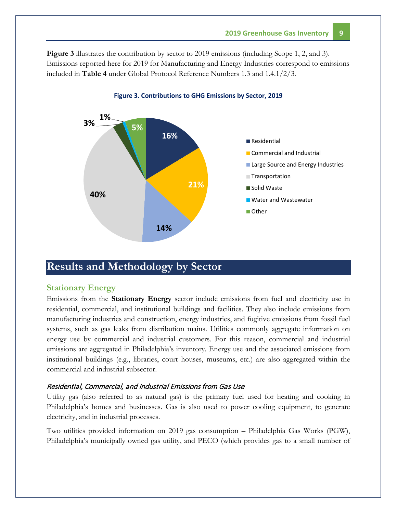**Figure 3** illustrates the contribution by sector to 2019 emissions (including Scope 1, 2, and 3). Emissions reported here for 2019 for Manufacturing and Energy Industries correspond to emissions included in **Table 4** under Global Protocol Reference Numbers 1.3 and 1.4.1/2/3.

<span id="page-12-3"></span>

#### **Figure 3. Contributions to GHG Emissions by Sector, 2019**

## <span id="page-12-0"></span>**Results and Methodology by Sector**

#### <span id="page-12-1"></span>**Stationary Energy**

Emissions from the **Stationary Energy** sector include emissions from fuel and electricity use in residential, commercial, and institutional buildings and facilities. They also include emissions from manufacturing industries and construction, energy industries, and fugitive emissions from fossil fuel systems, such as gas leaks from distribution mains. Utilities commonly aggregate information on energy use by commercial and industrial customers. For this reason, commercial and industrial emissions are aggregated in Philadelphia's inventory. Energy use and the associated emissions from institutional buildings (e.g., libraries, court houses, museums, etc.) are also aggregated within the commercial and industrial subsector.

#### <span id="page-12-2"></span>Residential, Commercial, and Industrial Emissions from Gas Use

Utility gas (also referred to as natural gas) is the primary fuel used for heating and cooking in Philadelphia's homes and businesses. Gas is also used to power cooling equipment, to generate electricity, and in industrial processes.

Two utilities provided information on 2019 gas consumption – Philadelphia Gas Works (PGW), Philadelphia's municipally owned gas utility, and PECO (which provides gas to a small number of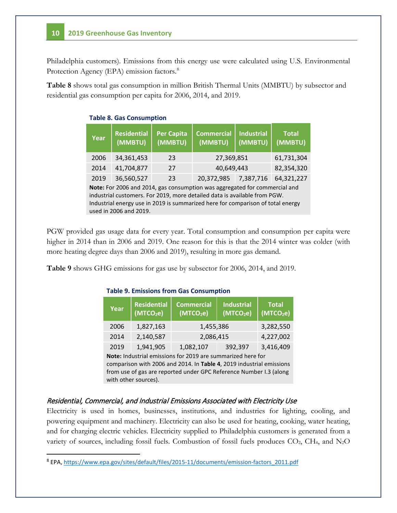**Table 8. Gas Consumption**

Philadelphia customers). Emissions from this energy use were calculated using U.S. Environmental Protection Agency (EPA) emission factors.<sup>[8](#page-13-1)</sup>

**Table 8** shows total gas consumption in million British Thermal Units (MMBTU) by subsector and residential gas consumption per capita for 2006, 2014, and 2019.

| Year                                                                                                                                                                                                                                                                 | <b>Residential</b><br>(MMBTU) | <b>Per Capita</b><br>(MMBTU) | <b>Commercial</b><br>(MMBTU) | <b>Industrial</b><br>(MMBTU) | <b>Total</b><br>(MMBTU) |  |  |
|----------------------------------------------------------------------------------------------------------------------------------------------------------------------------------------------------------------------------------------------------------------------|-------------------------------|------------------------------|------------------------------|------------------------------|-------------------------|--|--|
| 2006                                                                                                                                                                                                                                                                 | 34,361,453                    | 23                           | 27,369,851                   |                              | 61,731,304              |  |  |
| 2014                                                                                                                                                                                                                                                                 | 41,704,877                    | 27                           | 40,649,443                   |                              | 82,354,320              |  |  |
| 2019                                                                                                                                                                                                                                                                 | 36,560,527                    | 23                           | 20,372,985                   | 7,387,716                    | 64,321,227              |  |  |
| Note: For 2006 and 2014, gas consumption was aggregated for commercial and<br>industrial customers. For 2019, more detailed data is available from PGW.<br>Industrial energy use in 2019 is summarized here for comparison of total energy<br>used in 2006 and 2019. |                               |                              |                              |                              |                         |  |  |

PGW provided gas usage data for every year. Total consumption and consumption per capita were higher in 2014 than in 2006 and 2019. One reason for this is that the 2014 winter was colder (with more heating degree days than 2006 and 2019), resulting in more gas demand.

**Table 9** shows GHG emissions for gas use by subsector for 2006, 2014, and 2019.

#### **Table 9. Emissions from Gas Consumption**

| Year                                                                 | <b>Residential</b><br>(MTCO <sub>2</sub> e) | <b>Commercial</b><br>(MTCO <sub>2</sub> e) | <b>Industrial</b><br>(MTCO <sub>2</sub> e) | <b>Total</b><br>(MTCO <sub>2</sub> e) |  |
|----------------------------------------------------------------------|---------------------------------------------|--------------------------------------------|--------------------------------------------|---------------------------------------|--|
| 2006                                                                 | 1,827,163                                   | 1,455,386                                  |                                            | 3,282,550                             |  |
| 2014                                                                 | 2,140,587                                   | 2,086,415                                  |                                            | 4,227,002                             |  |
| 2019                                                                 | 1,941,905                                   | 1,082,107<br>392,397                       |                                            | 3,416,409                             |  |
| Note: Industrial emissions for 2019 are summarized here for          |                                             |                                            |                                            |                                       |  |
| comparison with 2006 and 2014. In Table 4, 2019 industrial emissions |                                             |                                            |                                            |                                       |  |
| from use of gas are reported under GPC Reference Number I.3 (along   |                                             |                                            |                                            |                                       |  |

#### <span id="page-13-0"></span>Residential, Commercial, and Industrial Emissions Associated with Electricity Use

with other sources).

Electricity is used in homes, businesses, institutions, and industries for lighting, cooling, and powering equipment and machinery. Electricity can also be used for heating, cooking, water heating, and for charging electric vehicles. Electricity supplied to Philadelphia customers is generated from a variety of sources, including fossil fuels. Combustion of fossil fuels produces  $CO<sub>2</sub>$ , CH<sub>4</sub>, and N<sub>2</sub>O

<span id="page-13-1"></span><sup>8</sup> EPA[, https://www.epa.gov/sites/default/files/2015-11/documents/emission-factors\\_2011.pdf](https://www.epa.gov/sites/default/files/2015-11/documents/emission-factors_2011.pdf)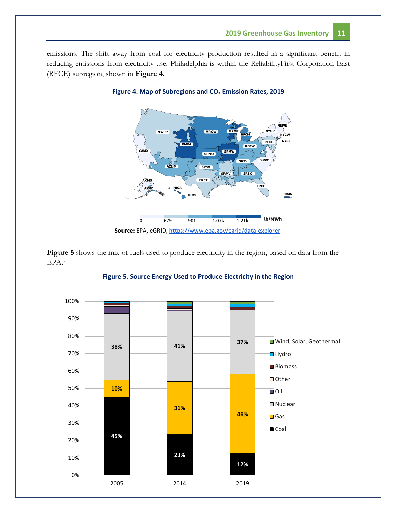<span id="page-14-0"></span>emissions. The shift away from coal for electricity production resulted in a significant benefit in reducing emissions from electricity use. Philadelphia is within the ReliabilityFirst Corporation East (RFCE) subregion, shown in **Figure 4.**





**Figure 5** shows the mix of fuels used to produce electricity in the region, based on data from the EPA. [9](#page-14-2)

<span id="page-14-2"></span><span id="page-14-1"></span>

#### **Figure 5. Source Energy Used to Produce Electricity in the Region**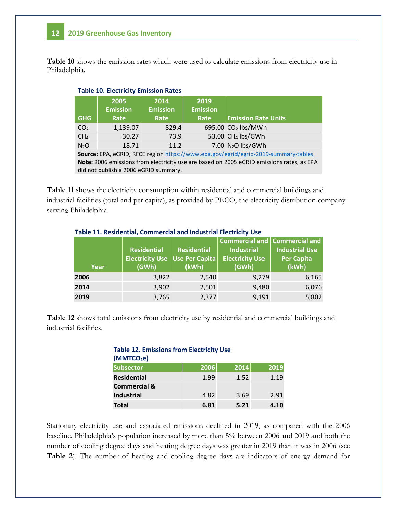**Table 10** shows the emission rates which were used to calculate emissions from electricity use in Philadelphia.

| <b>GHG</b>                                                                          | 2005<br><b>Emission</b><br>Rate | 2014<br><b>Emission</b><br>Rate | 2019<br><b>Emission</b><br>Rate | <b>Emission Rate Units</b>     |
|-------------------------------------------------------------------------------------|---------------------------------|---------------------------------|---------------------------------|--------------------------------|
| CO <sub>2</sub>                                                                     | 1,139.07                        | 829.4                           |                                 | 695.00 CO <sub>2</sub> lbs/MWh |
| CH <sub>4</sub>                                                                     | 30.27                           | 73.9                            |                                 | 53.00 CH <sub>4</sub> lbs/GWh  |
| N <sub>2</sub> O                                                                    | 18.71                           | 11.2                            |                                 | 7.00 N <sub>2</sub> O lbs/GWh  |
| Source: EPA, eGRID, RFCE region https://www.epa.gov/egrid/egrid-2019-summary-tables |                                 |                                 |                                 |                                |

#### **Table 10. Electricity Emission Rates**

**Note:** 2006 emissions from electricity use are based on 2005 eGRID emissions rates, as EPA did not publish a 2006 eGRID summary.

**Table 11** shows the electricity consumption within residential and commercial buildings and industrial facilities (total and per capita), as provided by PECO, the electricity distribution company serving Philadelphia.

|      | Table 11. Residential, commercial and maastrial Electricity OSC |                                                                          |                                                                                       |                                                     |  |  |
|------|-----------------------------------------------------------------|--------------------------------------------------------------------------|---------------------------------------------------------------------------------------|-----------------------------------------------------|--|--|
| Year | <b>Residential</b><br>(GWh)                                     | <b>Residential</b><br><b>Electricity Use   Use Per Capita  </b><br>(kWh) | Commercial and Commercial and<br><b>Industrial</b><br><b>Electricity Use</b><br>(GWh) | <b>Industrial Use</b><br><b>Per Capita</b><br>(kWh) |  |  |
|      |                                                                 |                                                                          |                                                                                       |                                                     |  |  |
| 2006 | 3,822                                                           | 2,540                                                                    | 9,279                                                                                 | 6,165                                               |  |  |
| 2014 | 3,902                                                           | 2,501                                                                    | 9,480                                                                                 | 6,076                                               |  |  |
| 2019 | 3,765                                                           | 2,377                                                                    | 9,191                                                                                 | 5,802                                               |  |  |

#### **Table 11. Residential, Commercial and Industrial Electricity Use**

**Table 12** shows total emissions from electricity use by residential and commercial buildings and industrial facilities.

| (MMTCO <sub>2</sub> e)  |      |      |      |
|-------------------------|------|------|------|
| <b>Subsector</b>        | 2006 | 2014 | 2019 |
| <b>Residential</b>      | 1.99 | 1.52 | 1.19 |
| <b>Commercial &amp;</b> |      |      |      |
| <b>Industrial</b>       | 4.82 | 3.69 | 2.91 |
| Total                   | 6.81 | 5.21 | 4.10 |

#### **Table 12. Emissions from Electricity Use**

Stationary electricity use and associated emissions declined in 2019, as compared with the 2006 baseline. Philadelphia's population increased by more than 5% between 2006 and 2019 and both the number of cooling degree days and heating degree days was greater in 2019 than it was in 2006 (see **Table 2**). The number of heating and cooling degree days are indicators of energy demand for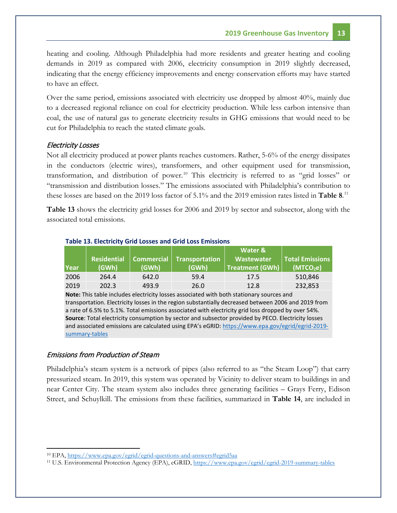heating and cooling. Although Philadelphia had more residents and greater heating and cooling demands in 2019 as compared with 2006, electricity consumption in 2019 slightly decreased, indicating that the energy efficiency improvements and energy conservation efforts may have started to have an effect.

Over the same period, emissions associated with electricity use dropped by almost 40%, mainly due to a decreased regional reliance on coal for electricity production. While less carbon intensive than coal, the use of natural gas to generate electricity results in GHG emissions that would need to be cut for Philadelphia to reach the stated climate goals.

#### <span id="page-16-0"></span>Electricity Losses

Not all electricity produced at power plants reaches customers. Rather, 5-6% of the energy dissipates in the conductors (electric wires), transformers, and other equipment used for transmission, transformation, and distribution of power.<sup>[10](#page-16-2)</sup> This electricity is referred to as "grid losses" or "transmission and distribution losses." The emissions associated with Philadelphia's contribution to these losses are based on the 2019 loss factor of 5.1% and the 2019 emission rates listed in **Table 8**. [11](#page-16-3)

**Table 13** shows the electricity grid losses for 2006 and 2019 by sector and subsector, along with the associated total emissions.

|      |                    |       |                             | Water &         |                        |
|------|--------------------|-------|-----------------------------|-----------------|------------------------|
|      | <b>Residential</b> |       | Commercial   Transportation | Wastewater      | <b>Total Emissions</b> |
| Year | (GWh)              | (GWh) | (GWh)                       | Treatment (GWh) | (MTCO <sub>2</sub> e)  |
| 2006 | 264.4              | 642.0 | 59.4                        | 17.5            | 510,846                |
| 2019 | 202.3              | 493.9 | 26.0                        | 12.8            | 232,853                |

#### **Table 13. Electricity Grid Losses and Grid Loss Emissions**

**Note:** This table includes electricity losses associated with both stationary sources and transportation. Electricity losses in the region substantially decreased between 2006 and 2019 from a rate of 6.5% to 5.1%. Total emissions associated with electricity grid loss dropped by over 54%. **Source**: Total electricity consumption by sector and subsector provided by PECO. Electricity losses and associated emissions are calculated using EPA's eGRID: [https://www.epa.gov/egrid/egrid-2019](https://www.epa.gov/egrid/egrid-2019-summary-tables) [summary-tables](https://www.epa.gov/egrid/egrid-2019-summary-tables)

#### <span id="page-16-1"></span>Emissions from Production of Steam

Philadelphia's steam system is a network of pipes (also referred to as "the Steam Loop") that carry pressurized steam. In 2019, this system was operated by Vicinity to deliver steam to buildings in and near Center City. The steam system also includes three generating facilities – Grays Ferry, Edison Street, and Schuylkill. The emissions from these facilities, summarized in **Table 14**, are included in

<span id="page-16-2"></span><sup>10</sup> EPA,<https://www.epa.gov/egrid/egrid-questions-and-answers#egrid5aa>

<span id="page-16-3"></span><sup>11</sup> U.S. Environmental Protection Agency (EPA), eGRID,<https://www.epa.gov/egrid/egrid-2019-summary-tables>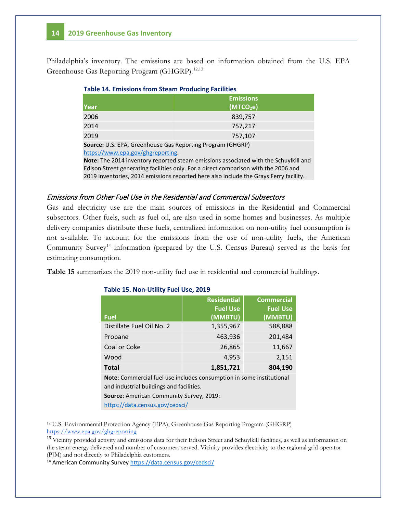Philadelphia's inventory. The emissions are based on information obtained from the U.S. EPA Greenhouse Gas Reporting Program (GHGRP).<sup>[12,](#page-17-1)[13](#page-17-2)</sup>

#### **Table 14. Emissions from Steam Producing Facilities**

|                                                                   | <b>Emissions</b>      |  |  |
|-------------------------------------------------------------------|-----------------------|--|--|
| Year                                                              | (MTCO <sub>2</sub> e) |  |  |
| 2006                                                              | 839,757               |  |  |
| 2014                                                              | 757,217               |  |  |
| 2019                                                              | 757,107               |  |  |
| <b>Source:</b> U.S. EPA, Greenhouse Gas Reporting Program (GHGRP) |                       |  |  |
| https://www.epa.gov/ghgreporting.                                 |                       |  |  |

**Note:** The 2014 inventory reported steam emissions associated with the Schuylkill and Edison Street generating facilities only. For a direct comparison with the 2006 and 2019 inventories, 2014 emissions reported here also include the Grays Ferry facility.

#### <span id="page-17-0"></span>Emissions from Other Fuel Use in the Residential and Commercial Subsectors

Gas and electricity use are the main sources of emissions in the Residential and Commercial subsectors. Other fuels, such as fuel oil, are also used in some homes and businesses. As multiple delivery companies distribute these fuels, centralized information on non-utility fuel consumption is not available. To account for the emissions from the use of non-utility fuels, the American Community Survey<sup>[14](#page-17-3)</sup> information (prepared by the U.S. Census Bureau) served as the basis for estimating consumption.

**Table 15** summarizes the 2019 non-utility fuel use in residential and commercial buildings.

|                                                                      | <b>Residential</b> | <b>Commercial</b> |  |  |
|----------------------------------------------------------------------|--------------------|-------------------|--|--|
|                                                                      | <b>Fuel Use</b>    | <b>Fuel Use</b>   |  |  |
| <b>Fuel</b>                                                          | (MMBTU)            | (MMBTU)           |  |  |
| Distillate Fuel Oil No. 2                                            | 1,355,967          | 588,888           |  |  |
| Propane                                                              | 463,936            | 201,484           |  |  |
| Coal or Coke                                                         | 26,865             | 11,667            |  |  |
| Wood                                                                 | 4,953              | 2,151             |  |  |
| <b>Total</b>                                                         | 1,851,721          | 804,190           |  |  |
| Note: Commercial fuel use includes consumption in some institutional |                    |                   |  |  |
| and industrial buildings and facilities.                             |                    |                   |  |  |
| Source: American Community Survey, 2019:                             |                    |                   |  |  |
|                                                                      |                    |                   |  |  |

#### **Table 15. Non-Utility Fuel Use, 2019**

<https://data.census.gov/cedsci/>

<span id="page-17-1"></span><sup>12</sup> U.S. Environmental Protection Agency (EPA), Greenhouse Gas Reporting Program (GHGRP[\)](https://www.epa.gov/ghgreporting) <https://www.epa.gov/ghgreporting>

<span id="page-17-2"></span><sup>&</sup>lt;sup>13</sup> Vicinity provided activity and emissions data for their Edison Street and Schuylkill facilities, as well as information on the steam energy delivered and number of customers served. Vicinity provides electricity to the regional grid operator (PJM) and not directly to Philadelphia customers.

<span id="page-17-3"></span><sup>14</sup> American Community Survey<https://data.census.gov/cedsci/>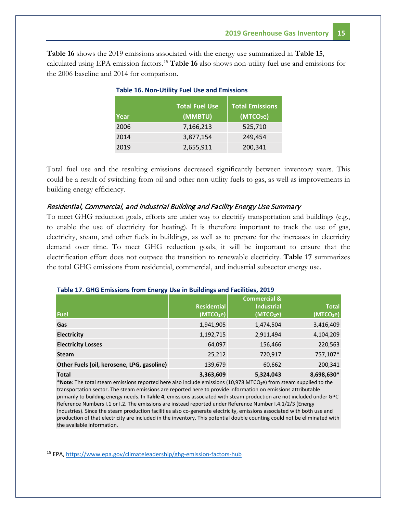**Table 16** shows the 2019 emissions associated with the energy use summarized in **Table 15**, calculated using EPA emission factors. [15](#page-18-1) **Table 16** also shows non-utility fuel use and emissions for the 2006 baseline and 2014 for comparison.

| Year | <b>Total Fuel Use</b><br>(MMBTU) | <b>Total Emissions</b><br>(MTCO <sub>2</sub> e) |
|------|----------------------------------|-------------------------------------------------|
| 2006 | 7,166,213                        | 525,710                                         |
| 2014 | 3,877,154                        | 249,454                                         |
| 2019 | 2,655,911                        | 200,341                                         |

#### **Table 16. Non-Utility Fuel Use and Emissions**

Total fuel use and the resulting emissions decreased significantly between inventory years. This could be a result of switching from oil and other non-utility fuels to gas, as well as improvements in building energy efficiency.

#### <span id="page-18-0"></span>Residential, Commercial, and Industrial Building and Facility Energy Use Summary

To meet GHG reduction goals, efforts are under way to electrify transportation and buildings (e.g., to enable the use of electricity for heating). It is therefore important to track the use of gas, electricity, steam, and other fuels in buildings, as well as to prepare for the increases in electricity demand over time. To meet GHG reduction goals, it will be important to ensure that the electrification effort does not outpace the transition to renewable electricity. **Table 17** summarizes the total GHG emissions from residential, commercial, and industrial subsector energy use.

|                                            | <b>Residential</b>    | <b>Commercial &amp;</b><br><b>Industrial</b> | <b>Total</b>          |
|--------------------------------------------|-----------------------|----------------------------------------------|-----------------------|
| <b>Fuel</b>                                | (MTCO <sub>2</sub> e) | (MTCO <sub>2</sub> e)                        | (MTCO <sub>2</sub> e) |
| Gas                                        | 1,941,905             | 1,474,504                                    | 3,416,409             |
| <b>Electricity</b>                         | 1,192,715             | 2,911,494                                    | 4,104,209             |
| <b>Electricity Losses</b>                  | 64,097                | 156,466                                      | 220,563               |
| <b>Steam</b>                               | 25,212                | 720,917                                      | 757,107*              |
| Other Fuels (oil, kerosene, LPG, gasoline) | 139,679               | 60,662                                       | 200,341               |
| <b>Total</b>                               | 3,363,609             | 5,324,043                                    | 8,698,630*            |

#### **Table 17. GHG Emissions from Energy Use in Buildings and Facilities, 2019**

\***Note**: The total steam emissions reported here also include emissions (10,978 MTCO<sub>2</sub>e) from steam supplied to the transportation sector. The steam emissions are reported here to provide information on emissions attributable primarily to building energy needs. In **Table 4**, emissions associated with steam production are not included under GPC Reference Numbers I.1 or I.2. The emissions are instead reported under Reference Number I.4.1/2/3 (Energy Industries). Since the steam production facilities also co-generate electricity, emissions associated with both use and production of that electricity are included in the inventory. This potential double counting could not be eliminated with the available information.

<span id="page-18-1"></span><sup>15</sup> EPA,<https://www.epa.gov/climateleadership/ghg-emission-factors-hub>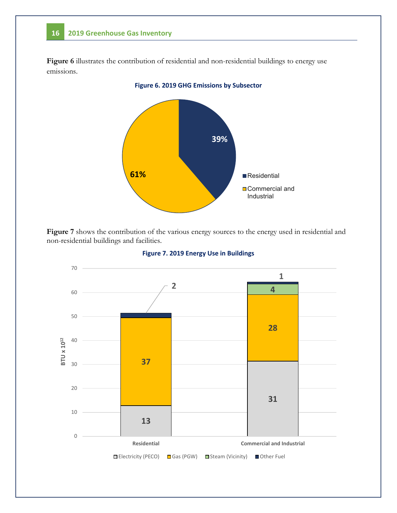#### **16 2019 Greenhouse Gas Inventory**

<span id="page-19-0"></span>Figure 6 illustrates the contribution of residential and non-residential buildings to energy use emissions.



Figure 7 shows the contribution of the various energy sources to the energy used in residential and non-residential buildings and facilities.

<span id="page-19-1"></span>

#### **Figure 7. 2019 Energy Use in Buildings**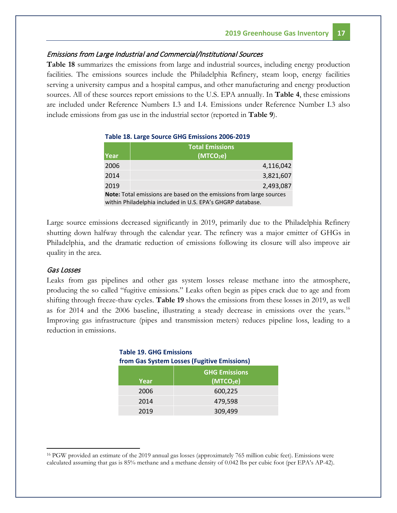#### <span id="page-20-0"></span>Emissions from Large Industrial and Commercial/Institutional Sources

**Table 18** summarizes the emissions from large and industrial sources, including energy production facilities. The emissions sources include the Philadelphia Refinery, steam loop, energy facilities serving a university campus and a hospital campus, and other manufacturing and energy production sources. All of these sources report emissions to the U.S. EPA annually. In **Table 4**, these emissions are included under Reference Numbers I.3 and I.4. Emissions under Reference Number I.3 also include emissions from gas use in the industrial sector (reported in **Table 9**).

|                                                                                                                                          | <b>Total Emissions</b> |  |  |
|------------------------------------------------------------------------------------------------------------------------------------------|------------------------|--|--|
| Year                                                                                                                                     | (MTCO <sub>2</sub> e)  |  |  |
| 2006                                                                                                                                     | 4,116,042              |  |  |
| 2014                                                                                                                                     | 3,821,607              |  |  |
| 2019                                                                                                                                     | 2,493,087              |  |  |
| <b>Note:</b> Total emissions are based on the emissions from large sources<br>within Philadelphia included in U.S. EPA's GHGRP database. |                        |  |  |

#### **Table 18. Large Source GHG Emissions 2006-2019**

Large source emissions decreased significantly in 2019, primarily due to the Philadelphia Refinery shutting down halfway through the calendar year. The refinery was a major emitter of GHGs in Philadelphia, and the dramatic reduction of emissions following its closure will also improve air quality in the area.

#### <span id="page-20-1"></span>Gas Losses

Leaks from gas pipelines and other gas system losses release methane into the atmosphere, producing the so called "fugitive emissions." Leaks often begin as pipes crack due to age and from shifting through freeze-thaw cycles. **Table 19** shows the emissions from these losses in 2019, as well as for 2014 and the 2006 baseline, illustrating a steady decrease in emissions over the years.[16](#page-20-2) Improving gas infrastructure (pipes and transmission meters) reduces pipeline loss, leading to a reduction in emissions.

| <b>Table 19. GHG Emissions</b><br>from Gas System Losses (Fugitive Emissions) |         |  |  |  |
|-------------------------------------------------------------------------------|---------|--|--|--|
| <b>GHG Emissions</b><br>(MTCO <sub>2</sub> e)<br>Year                         |         |  |  |  |
| 2006                                                                          | 600,225 |  |  |  |
| 2014                                                                          | 479,598 |  |  |  |
| 2019                                                                          | 309,499 |  |  |  |

<span id="page-20-2"></span><sup>&</sup>lt;sup>16</sup> PGW provided an estimate of the 2019 annual gas losses (approximately 765 million cubic feet). Emissions were calculated assuming that gas is 85% methane and a methane density of 0.042 lbs per cubic foot (per EPA's AP-42).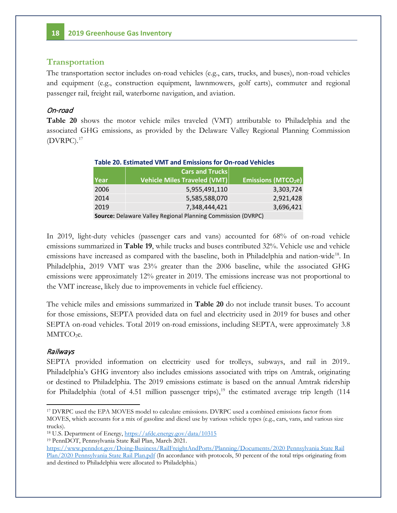#### <span id="page-21-0"></span>**Transportation**

The transportation sector includes on-road vehicles (e.g., cars, trucks, and buses), non-road vehicles and equipment (e.g., construction equipment, lawnmowers, golf carts), commuter and regional passenger rail, freight rail, waterborne navigation, and aviation.

#### <span id="page-21-1"></span>On-road

**Table 20** shows the motor vehicle miles traveled (VMT) attributable to Philadelphia and the associated GHG emissions, as provided by the Delaware Valley Regional Planning Commission (DVRPC).[17](#page-21-3)

| Table Zu. LStilliated VIVIT and Linissions for Official Venicles |                              |                                      |  |  |
|------------------------------------------------------------------|------------------------------|--------------------------------------|--|--|
|                                                                  | <b>Cars and Trucks</b>       |                                      |  |  |
| Year                                                             | Vehicle Miles Traveled (VMT) | <b>Emissions (MTCO<sub>2</sub>e)</b> |  |  |
| 2006                                                             | 5,955,491,110                | 3,303,724                            |  |  |
| 2014                                                             | 5,585,588,070                | 2,921,428                            |  |  |
| 2019                                                             | 7,348,444,421                | 3,696,421                            |  |  |
| Source: Delaware Valley Regional Planning Commission (DVRPC)     |                              |                                      |  |  |

#### **Table 20. Estimated VMT and Emissions for On-road Vehicles**

In 2019, light-duty vehicles (passenger cars and vans) accounted for 68% of on-road vehicle emissions summarized in **Table 19**, while trucks and buses contributed 32%. Vehicle use and vehicle emissions have increased as compared with the baseline, both in Philadelphia and nation-wide<sup>[18](#page-21-4)</sup>. In Philadelphia, 2019 VMT was 23% greater than the 2006 baseline, while the associated GHG emissions were approximately 12% greater in 2019. The emissions increase was not proportional to the VMT increase, likely due to improvements in vehicle fuel efficiency.

The vehicle miles and emissions summarized in **Table 20** do not include transit buses. To account for those emissions, SEPTA provided data on fuel and electricity used in 2019 for buses and other SEPTA on-road vehicles. Total 2019 on-road emissions, including SEPTA, were approximately 3.8 MMTCO<sub>2</sub>e.

#### <span id="page-21-2"></span>Railways

SEPTA provided information on electricity used for trolleys, subways, and rail in 2019.. Philadelphia's GHG inventory also includes emissions associated with trips on Amtrak, originating or destined to Philadelphia. The 2019 emissions estimate is based on the annual Amtrak ridership for Philadelphia (total of 4.51 million passenger trips),<sup>[19](#page-21-5)</sup> the estimated average trip length (114

<span id="page-21-3"></span><sup>17</sup> DVRPC used the EPA MOVES model to calculate emissions. DVRPC used a combined emissions factor from MOVES, which accounts for a mix of gasoline and diesel use by various vehicle types (e.g., cars, vans, and various size trucks).

<span id="page-21-5"></span><span id="page-21-4"></span><sup>18</sup> U.S. Department of Energy,<https://afdc.energy.gov/data/10315>

<sup>19</sup> PennDOT, Pennsylvania State Rail Plan, March 2021.

[https://www.penndot.gov/Doing-Business/RailFreightAndPorts/Planning/Documents/2020 Pennsylvania State Rail](https://www.penndot.gov/Doing-Business/RailFreightAndPorts/Planning/Documents/2020%20Pennsylvania%20State%20Rail%20Plan/2020%20Pennsylvania%20State%20Rail%20Plan.pdf)  [Plan/2020 Pennsylvania State Rail Plan.pdf](https://www.penndot.gov/Doing-Business/RailFreightAndPorts/Planning/Documents/2020%20Pennsylvania%20State%20Rail%20Plan/2020%20Pennsylvania%20State%20Rail%20Plan.pdf) (In accordance with protocols, 50 percent of the total trips originating from and destined to Philadelphia were allocated to Philadelphia.)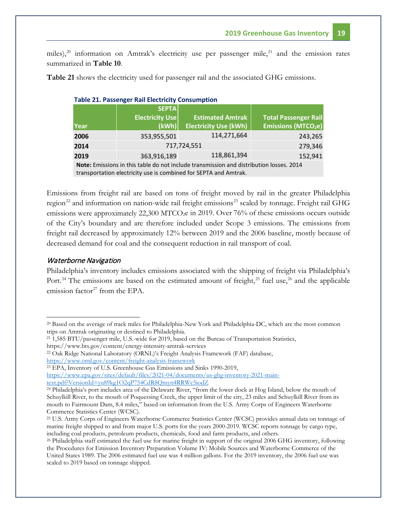miles),<sup>[20](#page-22-1)</sup> information on Amtrak's electricity use per passenger mile,<sup>[21](#page-22-2)</sup> and the emission rates summarized in **Table 10**.

| <b>Table 21. Passenger Rail Electricity Consumption</b>                                 |                        |                              |                                      |  |  |
|-----------------------------------------------------------------------------------------|------------------------|------------------------------|--------------------------------------|--|--|
|                                                                                         | <b>SEPTA</b>           |                              |                                      |  |  |
|                                                                                         | <b>Electricity Use</b> | <b>Estimated Amtrak</b>      | <b>Total Passenger Rail</b>          |  |  |
| <b>Year</b>                                                                             | (kWh)                  | <b>Electricity Use (kWh)</b> | <b>Emissions (MTCO<sub>2</sub>e)</b> |  |  |
| 2006                                                                                    | 353,955,501            | 114,271,664                  | 243,265                              |  |  |
| 2014                                                                                    | 717,724,551<br>279,346 |                              |                                      |  |  |
| 118,861,394<br>152,941<br>2019<br>363,916,189                                           |                        |                              |                                      |  |  |
| Note: Emissions in this table do not include transmission and distribution losses. 2014 |                        |                              |                                      |  |  |
| transportation electricity use is combined for SEPTA and Amtrak.                        |                        |                              |                                      |  |  |

**Table 21** shows the electricity used for passenger rail and the associated GHG emissions.

Emissions from freight rail are based on tons of freight moved by rail in the greater Philadelphia region<sup>[22](#page-22-3)</sup> and information on nation-wide rail freight emissions<sup>23</sup> scaled by tonnage. Freight rail GHG

emissions were approximately 22,300 MTCO<sub>2</sub>e in 2019. Over 76% of these emissions occurs outside of the City's boundary and are therefore included under Scope 3 emissions. The emissions from freight rail decreased by approximately 12% between 2019 and the 2006 baseline, mostly because of decreased demand for coal and the consequent reduction in rail transport of coal.

#### <span id="page-22-0"></span>Waterborne Navigation

Philadelphia's inventory includes emissions associated with the shipping of freight via Philadelphia's Port.<sup>[24](#page-22-5)</sup> The emissions are based on the estimated amount of freight,<sup>[25](#page-22-6)</sup> fuel use,<sup>[26](#page-22-7)</sup> and the applicable emission factor<sup>[27](#page-22-8)</sup> from the EPA.

https://www.bts.gov/content/energy-intensity-amtrak-services

[text.pdf?VersionId=yu89kg1O2qP754CdR8Qmyn4RRWc5iodZ](https://www.epa.gov/sites/default/files/2021-04/documents/us-ghg-inventory-2021-main-text.pdf?VersionId=yu89kg1O2qP754CdR8Qmyn4RRWc5iodZ)

<span id="page-22-1"></span><sup>20</sup> Based on the average of track miles for Philadelphia-New York and Philadelphia-DC, which are the most common trips on Amtrak originating or destined to Philadelphia.

<span id="page-22-2"></span><sup>21</sup> 1,585 BTU/passenger mile, U.S.-wide for 2019, based on the Bureau of Transportation Statistics,

<span id="page-22-3"></span><sup>22</sup> Oak Ridge National Laboratory (ORNL)'s Freight Analysis Framework (FAF) database, <https://www.ornl.gov/content/freight-analysis-framework>

<span id="page-22-4"></span><sup>23</sup> EPA, Inventory of U.S. Greenhouse Gas Emissions and Sinks 1990-2019, [https://www.epa.gov/sites/default/files/2021-04/documents/us-ghg-inventory-2021-main-](https://www.epa.gov/sites/default/files/2021-04/documents/us-ghg-inventory-2021-main-text.pdf?VersionId=yu89kg1O2qP754CdR8Qmyn4RRWc5iodZ)

<span id="page-22-5"></span><sup>24</sup> Philadelphia's port includes area of the Delaware River, "from the lower dock at Hog Island, below the mouth of Schuylkill River, to the mouth of Poquessing Creek, the upper limit of the city, 23 miles and Schuylkill River from its mouth to Fairmount Dam, 8.4 miles," based on information from the U.S. Army Corps of Engineers Waterborne Commerce Statistics Center (WCSC).

<span id="page-22-8"></span><span id="page-22-6"></span><sup>25</sup> U.S. Army Corps of Engineers Waterborne Commerce Statistics Center (WCSC) provides annual data on tonnage of marine freight shipped to and from major U.S. ports for the years 2000-2019. WCSC reports tonnage by cargo type, including coal products, petroleum products, chemicals, food and farm products, and others.

<span id="page-22-7"></span><sup>&</sup>lt;sup>26</sup> Philadelphia staff estimated the fuel use for marine freight in support of the original 2006 GHG inventory, following the Procedures for Emission Inventory Preparation Volume IV: Mobile Sources and Waterborne Commerce of the United States 1989. The 2006 estimated fuel use was 4 million gallons. For the 2019 inventory, the 2006 fuel use was scaled to 2019 based on tonnage shipped.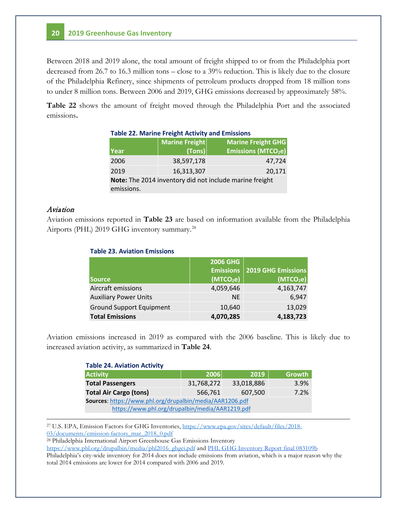Between 2018 and 2019 alone, the total amount of freight shipped to or from the Philadelphia port decreased from 26.7 to 16.3 million tons – close to a 39% reduction. This is likely due to the closure of the Philadelphia Refinery, since shipments of petroleum products dropped from 18 million tons to under 8 million tons. Between 2006 and 2019, GHG emissions decreased by approximately 58%.

**Table 22** shows the amount of freight moved through the Philadelphia Port and the associated emissions**.**

| Table 22. Martine Freight Activity and Emissions        |                |                           |  |  |
|---------------------------------------------------------|----------------|---------------------------|--|--|
|                                                         | Marine Freight | <b>Marine Freight GHG</b> |  |  |
| Year                                                    | (Tons)         | <b>Emissions (MTCO2e)</b> |  |  |
| 2006                                                    | 38,597,178     | 47,724                    |  |  |
| 2019                                                    | 16,313,307     | 20,171                    |  |  |
| Note: The 2014 inventory did not include marine freight |                |                           |  |  |
| emissions.                                              |                |                           |  |  |

### **Table 22. Marine Freight Activity and Emissions**

#### <span id="page-23-0"></span>Aviation

Aviation emissions reported in **Table 23** are based on information available from the Philadelphia Airports (PHL) 2019 GHG inventory summary.<sup>[28](#page-23-1)</sup>

|                                 | <b>2006 GHG</b>       |                       |
|---------------------------------|-----------------------|-----------------------|
|                                 | <b>Emissions</b>      | 2019 GHG Emissions    |
| Source                          | (MTCO <sub>2</sub> e) | (MTCO <sub>2</sub> e) |
| Aircraft emissions              | 4,059,646             | 4,163,747             |
| <b>Auxiliary Power Units</b>    | <b>NE</b>             | 6,947                 |
| <b>Ground Support Equipment</b> | 10,640                | 13,029                |
| <b>Total Emissions</b>          | 4,070,285             | 4,183,723             |

#### **Table 23. Aviation Emissions**

Aviation emissions increased in 2019 as compared with the 2006 baseline. This is likely due to increased aviation activity, as summarized in **Table 24**.

| <b>Table 24. Aviation Activity</b>                       |            |            |               |  |  |
|----------------------------------------------------------|------------|------------|---------------|--|--|
| <b>Activity</b>                                          | 2006       | 2019       | <b>Growth</b> |  |  |
| <b>Total Passengers</b>                                  | 31,768,272 | 33,018,886 | 3.9%          |  |  |
| <b>Total Air Cargo (tons)</b>                            | 566,761    | 607,500    | 7.2%          |  |  |
| Sources: https://www.phl.org/drupalbin/media/AAR1206.pdf |            |            |               |  |  |
| https://www.phl.org/drupalbin/media/AAR1219.pdf          |            |            |               |  |  |

<sup>27</sup> U.S. EPA, Emission Factors for GHG Inventories, [https://www.epa.gov/sites/default/files/2018-](https://www.epa.gov/sites/default/files/2018-03/documents/emission-factors_mar_2018_0.pdf) [03/documents/emission-factors\\_mar\\_2018\\_0.pdf](https://www.epa.gov/sites/default/files/2018-03/documents/emission-factors_mar_2018_0.pdf)

<span id="page-23-1"></span><sup>28</sup> Philadelphia International Airport Greenhouse Gas Emissions Inventory

[https://www.phl.org/drupalbin/media/phl2016\\_ghgei.pdf](https://www.phl.org/drupalbin/media/phl2016_ghgei.pdf) and [PHL GHG Inventory Report final 083109b](https://www.phl.org/drupalbin/media/GHGinventory09.PDF)

Philadelphia's city-wide inventory for 2014 does not include emissions from aviation, which is a major reason why the total 2014 emissions are lower for 2014 compared with 2006 and 2019.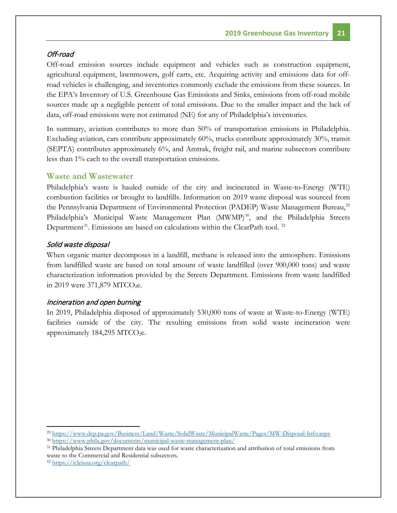#### <span id="page-24-0"></span>Off-road

Off-road emission sources include equipment and vehicles such as construction equipment, agricultural equipment, lawnmowers, golf carts, etc. Acquiring activity and emissions data for offroad vehicles is challenging, and inventories commonly exclude the emissions from these sources. In the EPA's Inventory of U.S. Greenhouse Gas Emissions and Sinks, emissions from off-road mobile sources made up a negligible percent of total emissions. Due to the smaller impact and the lack of data, off-road emissions were not estimated (NE) for any of Philadelphia's inventories.

In summary, aviation contributes to more than 50% of transportation emissions in Philadelphia. Excluding aviation, cars contribute approximately 60%, trucks contribute approximately 30%, transit (SEPTA) contributes approximately 6%, and Amtrak, freight rail, and marine subsectors contribute less than 1% each to the overall transportation emissions.

#### <span id="page-24-1"></span>**Waste and Wastewater**

Philadelphia's waste is hauled outside of the city and incinerated in Waste-to-Energy (WTE) combustion facilities or brought to landfills. Information on 2019 waste disposal was sourced from the Pennsylvania Department of Environmental Protection (PADEP) Waste Management Bureau,<sup>[29](#page-24-4)</sup> Philadelphia's Municipal Waste Management Plan (MWMP)<sup>[30](#page-24-5)</sup>, and the Philadelphia Streets Department<sup>31</sup>. Emissions are based on calculations within the ClearPath tool.<sup>[32](#page-24-7)</sup>

#### <span id="page-24-2"></span>Solid waste disposal

When organic matter decomposes in a landfill, methane is released into the atmosphere. Emissions from landfilled waste are based on total amount of waste landfilled (over 900,000 tons) and waste characterization information provided by the Streets Department. Emissions from waste landfilled in 2019 were 371,879 MTCO<sub>2</sub>e.

#### <span id="page-24-3"></span>Incineration and open burning

In 2019, Philadelphia disposed of approximately 530,000 tons of waste at Waste-to-Energy (WTE) facilities outside of the city. The resulting emissions from solid waste incineration were approximately  $184,295$  MTCO<sub>2</sub>e.

<span id="page-24-4"></span><sup>29</sup> <https://www.dep.pa.gov/Business/Land/Waste/SolidWaste/MunicipalWaste/Pages/MW-Disposal-Info.aspx>

<span id="page-24-5"></span><sup>30</sup> <https://www.phila.gov/documents/municipal-waste-management-plan/>

<span id="page-24-6"></span><sup>31</sup> Philadelphia Streets Department data was used for waste characterization and attribution of total emissions from waste to the Commercial and Residential subsectors.

<span id="page-24-7"></span><sup>32</sup> <https://icleiusa.org/clearpath/>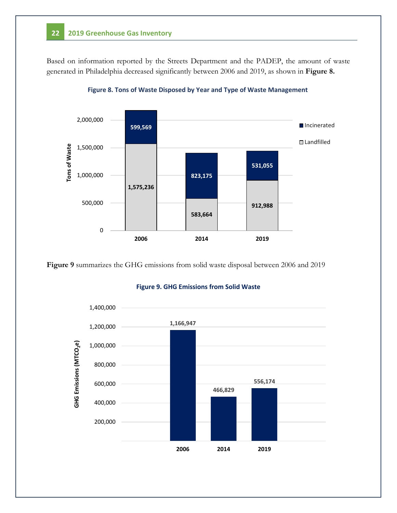Based on information reported by the Streets Department and the PADEP, the amount of waste generated in Philadelphia decreased significantly between 2006 and 2019, as shown in **Figure 8.**





**Figure 9** summarizes the GHG emissions from solid waste disposal between 2006 and 2019

<span id="page-25-0"></span>

#### **Figure 9. GHG Emissions from Solid Waste**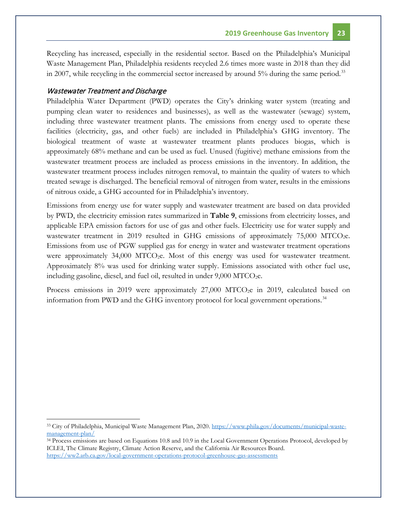Recycling has increased, especially in the residential sector. Based on the Philadelphia's Municipal Waste Management Plan, Philadelphia residents recycled 2.6 times more waste in 2018 than they did in 2007, while recycling in the commercial sector increased by around 5% during the same period.<sup>[33](#page-26-1)</sup>

#### <span id="page-26-0"></span>Wastewater Treatment and Discharge

Philadelphia Water Department (PWD) operates the City's drinking water system (treating and pumping clean water to residences and businesses), as well as the wastewater (sewage) system, including three wastewater treatment plants. The emissions from energy used to operate these facilities (electricity, gas, and other fuels) are included in Philadelphia's GHG inventory. The biological treatment of waste at wastewater treatment plants produces biogas, which is approximately 68% methane and can be used as fuel. Unused (fugitive) methane emissions from the wastewater treatment process are included as process emissions in the inventory. In addition, the wastewater treatment process includes nitrogen removal, to maintain the quality of waters to which treated sewage is discharged. The beneficial removal of nitrogen from water, results in the emissions of nitrous oxide, a GHG accounted for in Philadelphia's inventory.

Emissions from energy use for water supply and wastewater treatment are based on data provided by PWD, the electricity emission rates summarized in **Table 9**, emissions from electricity losses, and applicable EPA emission factors for use of gas and other fuels. Electricity use for water supply and wastewater treatment in 2019 resulted in GHG emissions of approximately 75,000 MTCO<sub>2</sub>e. Emissions from use of PGW supplied gas for energy in water and wastewater treatment operations were approximately 34,000 MTCO<sub>2</sub>e. Most of this energy was used for wastewater treatment. Approximately 8% was used for drinking water supply. Emissions associated with other fuel use, including gasoline, diesel, and fuel oil, resulted in under  $9,000$  MTCO<sub>2</sub>e.

Process emissions in 2019 were approximately  $27,000$  MTCO<sub>2</sub>e in 2019, calculated based on information from PWD and the GHG inventory protocol for local government operations. [34](#page-26-2)

<span id="page-26-1"></span><sup>&</sup>lt;sup>33</sup> City of Philadelphia, Municipal Waste Management Plan, 2020. [https://www.phila.gov/documents/municipal-waste](https://www.phila.gov/documents/municipal-waste-management-plan/)[management-plan/](https://www.phila.gov/documents/municipal-waste-management-plan/)

<span id="page-26-2"></span><sup>&</sup>lt;sup>34</sup> Process emissions are based on Equations 10.8 and 10.9 in the Local Government Operations Protocol, developed by ICLEI, The Climate Registry, Climate Action Reserve, and the California Air Resources Board. <https://ww2.arb.ca.gov/local-government-operations-protocol-greenhouse-gas-assessments>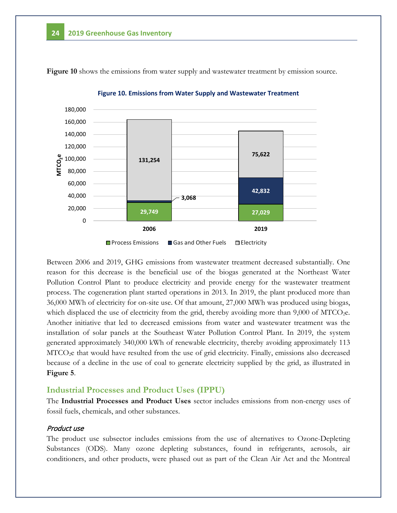<span id="page-27-2"></span>

**Figure 10** shows the emissions from water supply and wastewater treatment by emission source.

**Figure 10. Emissions from Water Supply and Wastewater Treatment**

Between 2006 and 2019, GHG emissions from wastewater treatment decreased substantially. One reason for this decrease is the beneficial use of the biogas generated at the Northeast Water Pollution Control Plant to produce electricity and provide energy for the wastewater treatment process. The cogeneration plant started operations in 2013. In 2019, the plant produced more than 36,000 MWh of electricity for on-site use. Of that amount, 27,000 MWh was produced using biogas, which displaced the use of electricity from the grid, thereby avoiding more than  $9,000$  of MTCO<sub>2</sub>e. Another initiative that led to decreased emissions from water and wastewater treatment was the installation of solar panels at the Southeast Water Pollution Control Plant. In 2019, the system generated approximately 340,000 kWh of renewable electricity, thereby avoiding approximately 113 MTCO<sub>2</sub>e that would have resulted from the use of grid electricity. Finally, emissions also decreased because of a decline in the use of coal to generate electricity supplied by the grid, as illustrated in **Figure 5**.

#### <span id="page-27-0"></span>**Industrial Processes and Product Uses (IPPU)**

The **Industrial Processes and Product Uses** sector includes emissions from non-energy uses of fossil fuels, chemicals, and other substances.

#### <span id="page-27-1"></span>Product use

The product use subsector includes emissions from the use of alternatives to Ozone-Depleting Substances (ODS). Many ozone depleting substances, found in refrigerants, aerosols, air conditioners, and other products, were phased out as part of the Clean Air Act and the Montreal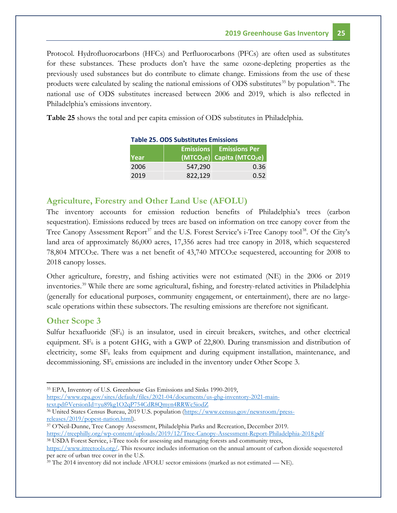Protocol. Hydrofluorocarbons (HFCs) and Perfluorocarbons (PFCs) are often used as substitutes for these substances. These products don't have the same ozone-depleting properties as the previously used substances but do contribute to climate change. Emissions from the use of these products were calculated by scaling the national emissions of ODS substitutes<sup>[35](#page-28-2)</sup> by population<sup>36</sup>. The national use of ODS substitutes increased between 2006 and 2019, which is also reflected in Philadelphia's emissions inventory.

**Table 25** shows the total and per capita emission of ODS substitutes in Philadelphia.

| <b>Table 25. ODS Substitutes Emissions</b> |         |                                                    |  |  |
|--------------------------------------------|---------|----------------------------------------------------|--|--|
|                                            |         | <b>Emissions</b> Emissions Per                     |  |  |
| <b>Year</b>                                |         | (MTCO <sub>2</sub> e) Capita (MTCO <sub>2</sub> e) |  |  |
| 2006                                       | 547,290 | 0.36                                               |  |  |
| 2019                                       | 822,129 | 0.52                                               |  |  |

#### <span id="page-28-0"></span>**Agriculture, Forestry and Other Land Use (AFOLU)**

The inventory accounts for emission reduction benefits of Philadelphia's trees (carbon sequestration). Emissions reduced by trees are based on information on tree canopy cover from the Tree Canopy Assessment Report<sup>[37](#page-28-4)</sup> and the U.S. Forest Service's i-Tree Canopy tool<sup>38</sup>. Of the City's land area of approximately 86,000 acres, 17,356 acres had tree canopy in 2018, which sequestered 78,804 MTCO<sub>2</sub>e. There was a net benefit of 43,740 MTCO<sub>2</sub>e sequestered, accounting for 2008 to 2018 canopy losses.

Other agriculture, forestry, and fishing activities were not estimated (NE) in the 2006 or 2019 inventories[.39](#page-28-6) While there are some agricultural, fishing, and forestry-related activities in Philadelphia (generally for educational purposes, community engagement, or entertainment), there are no largescale operations within these subsectors. The resulting emissions are therefore not significant.

#### <span id="page-28-1"></span>**Other Scope 3**

Sulfur hexafluoride  $(SF_6)$  is an insulator, used in circuit breakers, switches, and other electrical equipment.  $SF<sub>6</sub>$  is a potent GHG, with a GWP of 22,800. During transmission and distribution of electricity, some  $SF<sub>6</sub>$  leaks from equipment and during equipment installation, maintenance, and decommissioning.  $SF<sub>6</sub>$  emissions are included in the inventory under Other Scope 3.

<span id="page-28-2"></span><sup>35</sup> EPA, Inventory of U.S. Greenhouse Gas Emissions and Sinks 1990-2019, [https://www.epa.gov/sites/default/files/2021-04/documents/us-ghg-inventory-2021-main](https://www.epa.gov/sites/default/files/2021-04/documents/us-ghg-inventory-2021-main-text.pdf?VersionId=yu89kg1O2qP754CdR8Qmyn4RRWc5iodZ)[text.pdf?VersionId=yu89kg1O2qP754CdR8Qmyn4RRWc5iodZ](https://www.epa.gov/sites/default/files/2021-04/documents/us-ghg-inventory-2021-main-text.pdf?VersionId=yu89kg1O2qP754CdR8Qmyn4RRWc5iodZ)

<span id="page-28-3"></span><sup>36</sup> United States Census Bureau, 2019 U.S. population [\(https://www.census.gov/newsroom/press](https://www.census.gov/newsroom/press-releases/2019/popest-nation.html)[releases/2019/popest-nation.html\)](https://www.census.gov/newsroom/press-releases/2019/popest-nation.html).

<span id="page-28-4"></span><sup>37</sup> O'Neil-Dunne, Tree Canopy Assessment, Philadelphia Parks and Recreation, December 2019. <https://treephilly.org/wp-content/uploads/2019/12/Tree-Canopy-Assessment-Report-Philadelphia-2018.pdf> <sup>38</sup> USDA Forest Service, i-Tree tools for assessing and managing forests and community trees,

<span id="page-28-5"></span>[https://www.itreetools.org/.](https://www.itreetools.org/) This resource includes information on the annual amount of carbon dioxide sequestered per acre of urban tree cover in the U.S.

<span id="page-28-6"></span> $39$  The 2014 inventory did not include AFOLU sector emissions (marked as not estimated  $-$  NE).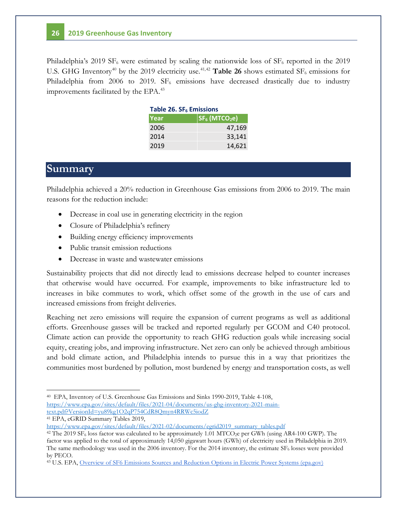#### **26 2019 Greenhouse Gas Inventory**

Philadelphia's 2019 SF<sub>6</sub> were estimated by scaling the nationwide loss of  $SF<sub>6</sub>$  reported in the 2019 U.S. GHG Inventory<sup>[40](#page-29-1)</sup> by the 2019 electricity use.<sup>[41,](#page-29-2)[42](#page-29-3)</sup> Table 26 shows estimated SF<sub>6</sub> emissions for Philadelphia from 2006 to 2019. SF<sub>6</sub> emissions have decreased drastically due to industry improvements facilitated by the EPA. [43](#page-29-4)

| Table 26. SF <sub>6</sub> Emissions |                               |  |  |
|-------------------------------------|-------------------------------|--|--|
| <b>Year</b>                         | $ SF_6$ (MTCO <sub>2</sub> e) |  |  |
| 2006                                | 47,169                        |  |  |
| 2014                                | 33,141                        |  |  |
| 2019                                | 14,621                        |  |  |

## <span id="page-29-0"></span>**Summary**

Philadelphia achieved a 20% reduction in Greenhouse Gas emissions from 2006 to 2019. The main reasons for the reduction include:

- Decrease in coal use in generating electricity in the region
- Closure of Philadelphia's refinery
- Building energy efficiency improvements
- Public transit emission reductions
- Decrease in waste and wastewater emissions

Sustainability projects that did not directly lead to emissions decrease helped to counter increases that otherwise would have occurred. For example, improvements to bike infrastructure led to increases in bike commutes to work, which offset some of the growth in the use of cars and increased emissions from freight deliveries.

Reaching net zero emissions will require the expansion of current programs as well as additional efforts. Greenhouse gasses will be tracked and reported regularly per GCOM and C40 protocol. Climate action can provide the opportunity to reach GHG reduction goals while increasing social equity, creating jobs, and improving infrastructure. Net zero can only be achieved through ambitious and bold climate action, and Philadelphia intends to pursue this in a way that prioritizes the communities most burdened by pollution, most burdened by energy and transportation costs, as well

<span id="page-29-2"></span><sup>41</sup> EPA, eGRID Summary Tables 2019,

<span id="page-29-1"></span><sup>40</sup> EPA, Inventory of U.S. Greenhouse Gas Emissions and Sinks 1990-2019, Table 4-108, [https://www.epa.gov/sites/default/files/2021-04/documents/us-ghg-inventory-2021-main](https://www.epa.gov/sites/default/files/2021-04/documents/us-ghg-inventory-2021-main-text.pdf?VersionId=yu89kg1O2qP754CdR8Qmyn4RRWc5iodZ)[text.pdf?VersionId=yu89kg1O2qP754CdR8Qmyn4RRWc5iodZ](https://www.epa.gov/sites/default/files/2021-04/documents/us-ghg-inventory-2021-main-text.pdf?VersionId=yu89kg1O2qP754CdR8Qmyn4RRWc5iodZ)

[https://www.epa.gov/sites/default/files/2021-02/documents/egrid2019\\_summary\\_tables.pdf](https://www.epa.gov/sites/default/files/2021-02/documents/egrid2019_summary_tables.pdf)

<span id="page-29-3"></span><sup>&</sup>lt;sup>42</sup> The 2019 SF<sub>6</sub> loss factor was calculated to be approximately 1.01 MTCO<sub>2</sub>e per GWh (using AR4-100 GWP). The factor was applied to the total of approximately 14,050 gigawatt hours (GWh) of electricity used in Philadelphia in 2019. The same methodology was used in the 2006 inventory. For the 2014 inventory, the estimate  $SF_6$  losses were provided by PECO.<br><sup>43</sup> U.S. EPA, [Overview of SF6 Emissions Sources and Reduction Options in Electric Power Systems \(epa.gov\)](https://www.epa.gov/sites/default/files/2018-08/documents/12183_sf6_partnership_overview_v20_release_508.pdf)

<span id="page-29-4"></span>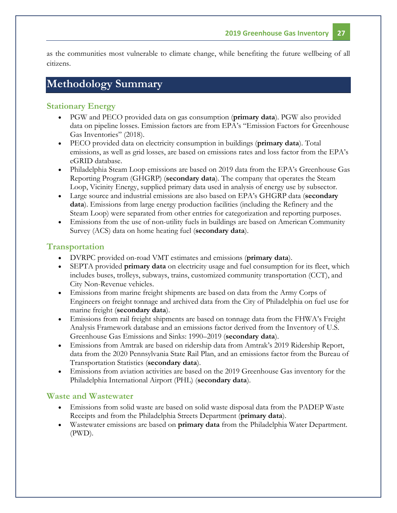as the communities most vulnerable to climate change, while benefiting the future wellbeing of all citizens.

## <span id="page-30-0"></span>**Methodology Summary**

### <span id="page-30-1"></span>**Stationary Energy**

- PGW and PECO provided data on gas consumption (**primary data**). PGW also provided data on pipeline losses. Emission factors are from EPA's "Emission Factors for Greenhouse Gas Inventories" (2018).
- PECO provided data on electricity consumption in buildings (**primary data**). Total emissions, as well as grid losses, are based on emissions rates and loss factor from the EPA's eGRID database.
- Philadelphia Steam Loop emissions are based on 2019 data from the EPA's Greenhouse Gas Reporting Program (GHGRP) (**secondary data**). The company that operates the Steam Loop, Vicinity Energy, supplied primary data used in analysis of energy use by subsector.
- Large source and industrial emissions are also based on EPA's GHGRP data (**secondary data**). Emissions from large energy production facilities (including the Refinery and the Steam Loop) were separated from other entries for categorization and reporting purposes.
- Emissions from the use of non-utility fuels in buildings are based on American Community Survey (ACS) data on home heating fuel (**secondary data**).

### <span id="page-30-2"></span>**Transportation**

- DVRPC provided on-road VMT estimates and emissions (**primary data**).
- SEPTA provided **primary data** on electricity usage and fuel consumption for its fleet, which includes buses, trolleys, subways, trains, customized community transportation (CCT), and City Non-Revenue vehicles.
- Emissions from marine freight shipments are based on data from the Army Corps of Engineers on freight tonnage and archived data from the City of Philadelphia on fuel use for marine freight (**secondary data**).
- Emissions from rail freight shipments are based on tonnage data from the FHWA's Freight Analysis Framework database and an emissions factor derived from the Inventory of U.S. Greenhouse Gas Emissions and Sinks: 1990–2019 (**secondary data**).
- Emissions from Amtrak are based on ridership data from Amtrak's 2019 Ridership Report, data from the 2020 Pennsylvania State Rail Plan, and an emissions factor from the Bureau of Transportation Statistics (**secondary data**).
- Emissions from aviation activities are based on the 2019 Greenhouse Gas inventory for the Philadelphia International Airport (PHL) (**secondary data**).

### <span id="page-30-3"></span>**Waste and Wastewater**

- Emissions from solid waste are based on solid waste disposal data from the PADEP Waste Receipts and from the Philadelphia Streets Department (**primary data**).
- Wastewater emissions are based on **primary data** from the Philadelphia Water Department. (PWD).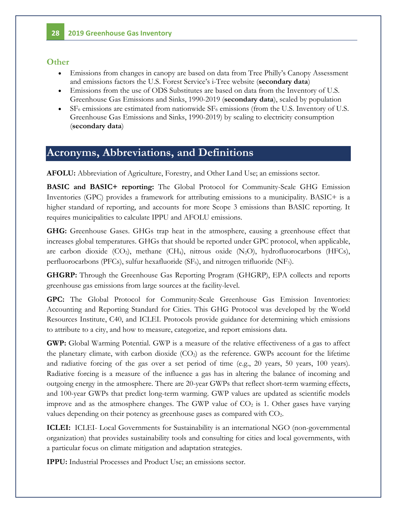#### **28 2019 Greenhouse Gas Inventory**

#### <span id="page-31-0"></span>**Other**

- Emissions from changes in canopy are based on data from Tree Philly's Canopy Assessment and emissions factors the U.S. Forest Service's i-Tree website (**secondary data**)
- Emissions from the use of ODS Substitutes are based on data from the Inventory of U.S. Greenhouse Gas Emissions and Sinks, 1990-2019 (**secondary data**), scaled by population
- SF $\epsilon$  emissions are estimated from nationwide SF $\epsilon$  emissions (from the U.S. Inventory of U.S. Greenhouse Gas Emissions and Sinks, 1990-2019) by scaling to electricity consumption (**secondary data**)

## <span id="page-31-1"></span>**Acronyms, Abbreviations, and Definitions**

**AFOLU:** Abbreviation of Agriculture, Forestry, and Other Land Use; an emissions sector.

**BASIC and BASIC+ reporting:** The Global Protocol for Community-Scale GHG Emission Inventories (GPC) provides a framework for attributing emissions to a municipality. BASIC+ is a higher standard of reporting, and accounts for more Scope 3 emissions than BASIC reporting. It requires municipalities to calculate IPPU and AFOLU emissions.

**GHG:** Greenhouse Gases. GHGs trap heat in the atmosphere, causing a greenhouse effect that increases global temperatures. GHGs that should be reported under GPC protocol, when applicable, are carbon dioxide  $(CO_2)$ , methane  $(CH_4)$ , nitrous oxide  $(N_2O)$ , hydrofluorocarbons (HFCs), perfluorocarbons (PFCs), sulfur hexafluoride  $(SF_6)$ , and nitrogen trifluoride (NF<sub>3</sub>).

**GHGRP:** Through the Greenhouse Gas Reporting Program (GHGRP), EPA collects and reports greenhouse gas emissions from large sources at the facility-level.

**GPC:** The Global Protocol for Community-Scale Greenhouse Gas Emission Inventories: Accounting and Reporting Standard for Cities. This GHG Protocol was developed by the World Resources Institute, C40, and ICLEI. Protocols provide guidance for determining which emissions to attribute to a city, and how to measure, categorize, and report emissions data.

**GWP:** Global Warming Potential. GWP is a measure of the relative effectiveness of a gas to affect the planetary climate, with carbon dioxide  $(CO<sub>2</sub>)$  as the reference. GWPs account for the lifetime and radiative forcing of the gas over a set period of time (e.g., 20 years, 50 years, 100 years). Radiative forcing is a measure of the influence a gas has in altering the balance of incoming and outgoing energy in the atmosphere. There are 20-year GWPs that reflect short-term warming effects, and 100-year GWPs that predict long-term warming. GWP values are updated as scientific models improve and as the atmosphere changes. The GWP value of  $CO<sub>2</sub>$  is 1. Other gases have varying values depending on their potency as greenhouse gases as compared with CO2.

**ICLEI:** ICLEI- Local Governments for Sustainability is an international NGO (non-governmental organization) that provides sustainability tools and consulting for cities and local governments, with a particular focus on climate mitigation and adaptation strategies.

**IPPU:** Industrial Processes and Product Use; an emissions sector.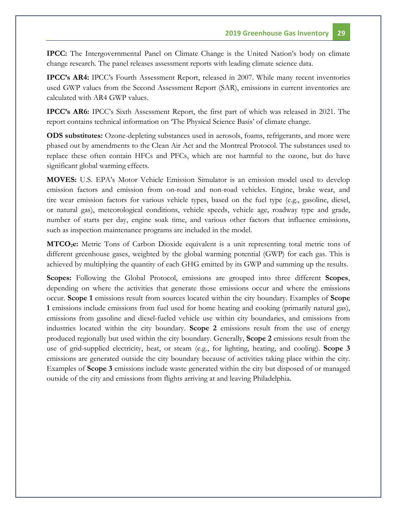**IPCC:** The Intergovernmental Panel on Climate Change is the United Nation's body on climate change research. The panel releases assessment reports with leading climate science data.

**IPCC's AR4:** IPCC's Fourth Assessment Report, released in 2007. While many recent inventories used GWP values from the Second Assessment Report (SAR), emissions in current inventories are calculated with AR4 GWP values.

**IPCC's AR6:** IPCC's Sixth Assessment Report, the first part of which was released in 2021. The report contains technical information on 'The Physical Science Basis' of climate change.

**ODS substitutes:** Ozone-depleting substances used in aerosols, foams, refrigerants, and more were phased out by amendments to the Clean Air Act and the Montreal Protocol. The substances used to replace these often contain HFCs and PFCs, which are not harmful to the ozone, but do have significant global warming effects.

**MOVES:** U.S. EPA's Motor Vehicle Emission Simulator is an emission model used to develop emission factors and emission from on-road and non-road vehicles. Engine, brake wear, and tire wear emission factors for various vehicle types, based on the fuel type (e.g., gasoline, diesel, or natural gas), meteorological conditions, vehicle speeds, vehicle age, roadway type and grade, number of starts per day, engine soak time, and various other factors that influence emissions, such as inspection maintenance programs are included in the model.

**MTCO<sub>2</sub>e:** Metric Tons of Carbon Dioxide equivalent is a unit representing total metric tons of different greenhouse gases, weighted by the global warming potential (GWP) for each gas. This is achieved by multiplying the quantity of each GHG emitted by its GWP and summing up the results.

**Scopes:** Following the Global Protocol, emissions are grouped into three different **Scopes**, depending on where the activities that generate those emissions occur and where the emissions occur. **Scope 1** emissions result from sources located within the city boundary. Examples of **Scope 1** emissions include emissions from fuel used for home heating and cooking (primarily natural gas), emissions from gasoline and diesel-fueled vehicle use within city boundaries, and emissions from industries located within the city boundary. **Scope 2** emissions result from the use of energy produced regionally but used within the city boundary. Generally, **Scope 2** emissions result from the use of grid-supplied electricity, heat, or steam (e.g., for lighting, heating, and cooling). **Scope 3** emissions are generated outside the city boundary because of activities taking place within the city. Examples of **Scope 3** emissions include waste generated within the city but disposed of or managed outside of the city and emissions from flights arriving at and leaving Philadelphia.